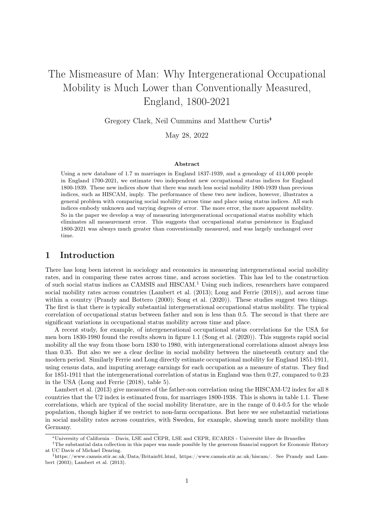# The Mismeasure of Man: Why Intergenerational Occupational Mobility is Much Lower than Conventionally Measured, England, 1800-2021

Gregory Clark, Neil Cummins and Matthew Curtis∗†

May 28, 2022

#### Abstract

Using a new database of 1.7 m marriages in England 1837-1939, and a genealogy of 414,000 people in England 1700-2021, we estimate two independent new occupational status indices for England 1800-1939. These new indices show that there was much less social mobility 1800-1939 than previous indices, such as HISCAM, imply. The performance of these two new indices, however, illustrates a general problem with comparing social mobility across time and place using status indices. All such indices embody unknown and varying degrees of error. The more error, the more apparent mobility. So in the paper we develop a way of measuring intergenerational occupational status mobility which eliminates all measurement error. This suggests that occupational status persistence in England 1800-2021 was always much greater than conventionally measured, and was largely unchanged over time.

### 1 Introduction

There has long been interest in sociology and economics in measuring intergenerational social mobility rates, and in comparing these rates across time, and across societies. This has led to the construction of such social status indices as CAMSIS and HISCAM.<sup>1</sup> Using such indices, researchers have compared social mobility rates across countries (Lambert et al. (2013); Long and Ferrie (2018)), and across time within a country (Prandy and Bottero (2000); Song et al. (2020)). These studies suggest two things. The first is that there is typically substantial intergenerational occupational status mobility. The typical correlation of occupational status between father and son is less than 0.5. The second is that there are significant variations in occupational status mobility across time and place.

A recent study, for example, of intergenerational occupational status correlations for the USA for men born 1830-1980 found the results shown in figure 1.1 (Song et al. (2020)). This suggests rapid social mobility all the way from those born 1830 to 1980, with intergenerational correlations almost always less than 0.35. But also we see a clear decline in social mobility between the nineteenth century and the modern period. Similarly Ferrie and Long directly estimate occupational mobility for England 1851-1911, using census data, and imputing average earnings for each occupation as a measure of status. They find for 1851-1911 that the intergenerational correlation of status in England was then 0.27, compared to 0.23 in the USA (Long and Ferrie (2018), table 5).

Lambert et al. (2013) give measures of the father-son correlation using the HISCAM-U2 index for all 8 countries that the U2 index is estimated from, for marriages 1800-1938. This is shown in table 1.1. These correlations, which are typical of the social mobility literature, are in the range of 0.4-0.5 for the whole population, though higher if we restrict to non-farm occupations. But here we see substantial variations in social mobility rates across countries, with Sweden, for example, showing much more mobility than Germany.

<sup>∗</sup>University of California – Davis, LSE and CEPR, LSE and CEPR, ECARES - Université libre de Bruxelles

<sup>†</sup>The substantial data collection in this paper was made possible by the generous financial support for Economic History at UC Davis of Michael Dearing.

<sup>1</sup>https://www.camsis.stir.ac.uk/Data/Britain91.html, https://www.camsis.stir.ac.uk/hiscam/. See Prandy and Lambert (2003); Lambert et al. (2013).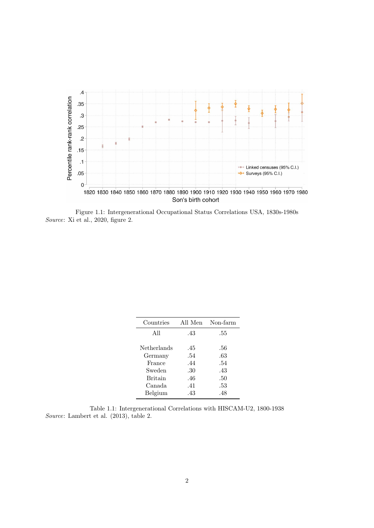

Figure 1.1: Intergenerational Occupational Status Correlations USA, 1830s-1980s Source: Xi et al., 2020, figure 2.

| Countries                                  | All Men                  | Non-farm                 |
|--------------------------------------------|--------------------------|--------------------------|
| All                                        | .43                      | .55                      |
| Netherlands<br>Germany<br>France<br>Sweden | .45<br>.54<br>.44        | .56<br>.63<br>.54        |
| <b>Britain</b><br>Canada<br>Belgium        | .30<br>.46<br>.41<br>.43 | .43<br>.50<br>.53<br>.48 |

Table 1.1: Intergenerational Correlations with HISCAM-U2, 1800-1938 Source: Lambert et al. (2013), table 2.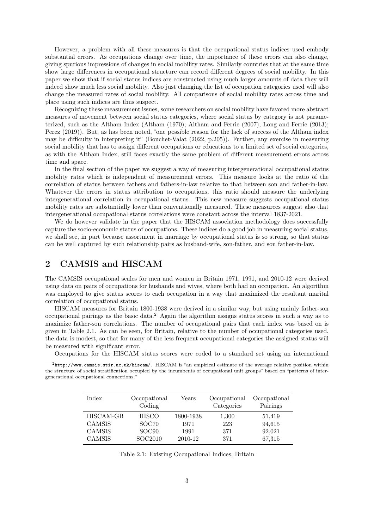However, a problem with all these measures is that the occupational status indices used embody substantial errors. As occupations change over time, the importance of these errors can also change, giving spurious impressions of changes in social mobility rates. Similarly countries that at the same time show large differences in occupational structure can record different degrees of social mobility. In this paper we show that if social status indices are constructed using much larger amounts of data they will indeed show much less social mobility. Also just changing the list of occupation categories used will also change the measured rates of social mobility. All comparisons of social mobility rates across time and place using such indices are thus suspect.

Recognizing these measurement issues, some researchers on social mobility have favored more abstract measures of movement between social status categories, where social status by category is not parameterized, such as the Altham Index (Altham (1970); Altham and Ferrie (2007); Long and Ferrie (2013); Perez (2019)). But, as has been noted, "one possible reason for the lack of success of the Altham index may be difficulty in interpreting it" (Bouchet-Valat (2022, p.205)). Further, any exercise in measuring social mobility that has to assign different occupations or educations to a limited set of social categories, as with the Altham Index, still faces exactly the same problem of different measurement errors across time and space.

In the final section of the paper we suggest a way of measuring intergenerational occupational status mobility rates which is independent of measurement errors. This measure looks at the ratio of the correlation of status between fathers and fathers-in-law relative to that between son and father-in-law. Whatever the errors in status attribution to occupations, this ratio should measure the underlying intergenerational correlation in occupational status. This new measure suggests occupational status mobility rates are substantially lower than conventionally measured. These measurees suggest also that intergenerational occupational status correlations were constant across the interval 1837-2021.

We do however validate in the paper that the HISCAM association methodology does successfully capture the socio-economic status of occupations. These indices do a good job in measuring social status, we shall see, in part because assortment in marriage by occupational status is so strong, so that status can be well captured by such relationship pairs as husband-wife, son-father, and son father-in-law.

# 2 CAMSIS and HISCAM

The CAMSIS occupational scales for men and women in Britain 1971, 1991, and 2010-12 were derived using data on pairs of occupations for husbands and wives, where both had an occupation. An algorithm was employed to give status scores to each occupation in a way that maximized the resultant marital correlation of occupational status.

HISCAM measures for Britain 1800-1938 were derived in a similar way, but using mainly father-son occupational pairings as the basic data.<sup>2</sup> Again the algorithm assigns status scores in such a way as to maximize father-son correlations. The number of occupational pairs that each index was based on is given in Table 2.1. As can be seen, for Britain, relative to the number of occupational categories used, the data is modest, so that for many of the less frequent occupational categories the assigned status will be measured with significant error.

Occupations for the HISCAM status scores were coded to a standard set using an international

<sup>2</sup>http://www.camsis.stir.ac.uk/hiscam/. HISCAM is "an empirical estimate of the average relative position within the structure of social stratification occupied by the incumbents of occupational unit groups" based on "patterns of intergenerational occupational connections."

| Index                      | Occupational<br>Coding | Years             | Occupational<br>Categories | Occupational<br>Pairings |
|----------------------------|------------------------|-------------------|----------------------------|--------------------------|
| HISCAM-GB<br><b>CAMSIS</b> | <b>HISCO</b><br>SOC70  | 1800-1938<br>1971 | 1,300<br>223               | 51,419<br>94,615         |
| <b>CAMSIS</b>              | SOC <sub>90</sub>      | 1991              | 371                        | 92,021                   |
| <b>CAMSIS</b>              | SOC2010                | 2010-12           | 371                        | 67,315                   |

Table 2.1: Existing Occupational Indices, Britain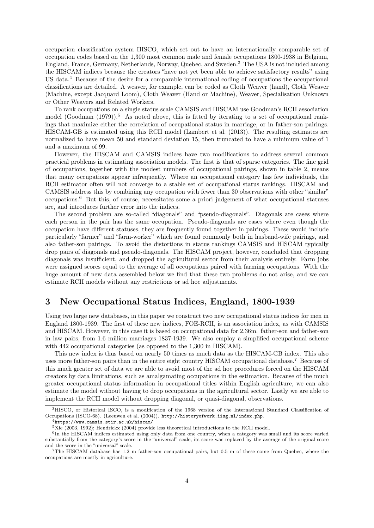occupation classification system HISCO, which set out to have an internationally comparable set of occupation codes based on the 1,300 most common male and female occupations 1800-1938 in Belgium, England, France, Germany, Netherlands, Norway, Quebec, and Sweden.<sup>3</sup> The USA is not included among the HISCAM indices because the creators "have not yet been able to achieve satisfactory results" using US data.<sup>4</sup> Because of the desire for a comparable international coding of occupations the occupational classifications are detailed. A weaver, for example, can be coded as Cloth Weaver (hand), Cloth Weaver (Machine, except Jacquard Loom), Cloth Weaver (Hand or Machine), Weaver, Specialisation Unknown or Other Weavers and Related Workers.

To rank occupations on a single status scale CAMSIS and HISCAM use Goodman's RCII association model (Goodman  $(1979)$ ).<sup>5</sup> As noted above, this is fitted by iterating to a set of occupational rankings that maximize either the correlation of occupational status in marriage, or in father-son pairings. HISCAM-GB is estimated using this RCII model (Lambert et al. (2013)). The resulting estimates are normalized to have mean 50 and standard deviation 15, then truncated to have a minimum value of 1 and a maximum of 99.

However, the HISCAM and CAMSIS indices have two modifications to address several common practical problems in estimating association models. The first is that of sparse categories. The fine grid of occupations, together with the modest numbers of occupational pairings, shown in table 2, means that many occupations appear infrequently. Where an occupational category has few individuals, the RCII estimator often will not converge to a stable set of occupational status rankings. HISCAM and CAMSIS address this by combining any occupation with fewer than 30 observations with other "similar" occupations.<sup>6</sup> But this, of course, necessitates some a priori judgement of what occupational statuses are, and introduces further error into the indices.

The second problem are so-called "diagonals" and "pseudo-diagonals". Diagonals are cases where each person in the pair has the same occupation. Pseudo-diagonals are cases where even though the occupation have different statuses, they are frequently found together in pairings. These would include particularly "farmer" and "farm-worker" which are found commonly both in husband-wife pairings, and also father-son pairings. To avoid the distortions in status rankings CAMSIS and HISCAM typically drop pairs of diagonals and pseudo-diagonals. The HISCAM project, however, concluded that dropping diagonals was insufficient, and dropped the agricultural sector from their analysis entirely. Farm jobs were assigned scores equal to the average of all occupations paired with farming occupations. With the huge amount of new data assembled below we find that these two problems do not arise, and we can estimate RCII models without any restrictions or ad hoc adjustments.

#### 3 New Occupational Status Indices, England, 1800-1939

Using two large new databases, in this paper we construct two new occupational status indices for men in England 1800-1939. The first of these new indices, FOE-RCII, is an association index, as with CAMSIS and HISCAM. However, in this case it is based on occupational data for 2.36m. father-son and father-son in law pairs, from 1.6 million marriages 1837-1939. We also employ a simplified occupational scheme with 442 occupational categories (as opposed to the 1,300 in HISCAM).

This new index is thus based on nearly 50 times as much data as the HISCAM-GB index. This also uses more father-son pairs than in the entire eight country HISCAM occupational database.<sup>7</sup> Because of this much greater set of data we are able to avoid most of the ad hoc procedures forced on the HISCAM creators by data limitations, such as amalgamating occupations in the estimation. Because of the much greater occupational status information in occupational titles within English agriculture, we can also estimate the model without having to drop occupations in the agricultural sector. Lastly we are able to implement the RCII model without dropping diagonal, or quasi-diagonal, observations.

<sup>3</sup>HISCO, or Historical ISCO, is a modification of the 1968 version of the International Standard Classification of Occupations (ISCO-68). (Leeuwen et al. (2004)). http://historyofwork.iisg.nl/index.php.

 $^4$ https://www.camsis.stir.ac.uk/hiscam/

 ${}^{5}$ Xie (2003, 1992); Hendrickx (2004) provide less theoretical introductions to the RCII model.

<sup>&</sup>lt;sup>6</sup>In the HISCAM indices estimated using only data from one country, when a category was small and its score varied substantially from the category's score in the "universal" scale, its score was replaced by the average of the original score and the score in the "universal" scale.

<sup>7</sup>The HISCAM database has 1.2 m father-son occupational pairs, but 0.5 m of these come from Quebec, where the occupations are mostly in agriculture.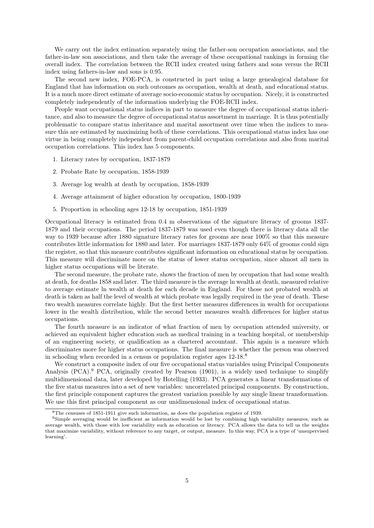We carry out the index estimation separately using the father-son occupation associations, and the father-in-law son associations, and then take the average of these occupational rankings in forming the overall index. The correlation between the RCII index created using fathers and sons versus the RCII index using fathers-in-law and sons is 0.95.

The second new index, FOE-PCA, is constructed in part using a large genealogical database for England that has information on such outcomes as occupation, wealth at death, and educational status. It is a much more direct estimate of average socio-economic status by occupation. Nicely, it is constructed completely independently of the information underlying the FOE-RCII index.

People want occupational status indices in part to measure the degree of occupational status inheritance, and also to measure the degree of occupational status assortment in marriage. It is thus potentially problematic to compare status inheritance and marital assortment over time when the indices to measure this are estimated by maximizing both of these correlations. This occupational status index has one virtue in being completely independent from parent-child occupation correlations and also from marital occupation correlations. This index has 5 components.

- 1. Literacy rates by occupation, 1837-1879
- 2. Probate Rate by occupation, 1858-1939
- 3. Average log wealth at death by occupation, 1858-1939
- 4. Average attainment of higher education by occupation, 1800-1939
- 5. Proportion in schooling ages 12-18 by occupation, 1851-1939

Occupational literacy is estimated from 0.4 m observations of the signature literacy of grooms 1837- 1879 and their occupations. The period 1837-1879 was used even though there is literacy data all the way to 1939 because after 1880 signature literacy rates for grooms are near 100% so that this measure contributes little information for 1880 and later. For marriages 1837-1879 only 64% of grooms could sign the register, so that this measure contributes significant information on educational status by occupation. This measure will discriminate more on the status of lower status occupation, since almost all men in higher status occupations will be literate.

The second measure, the probate rate, shows the fraction of men by occupation that had some wealth at death, for deaths 1858 and later. The third measure is the average ln wealth at death, measured relative to average estimate ln wealth at death for each decade in England. For those not probated wealth at death is taken as half the level of wealth at which probate was legally required in the year of death. These two wealth measures correlate highly. But the first better measures differences in wealth for occupations lower in the wealth distribution, while the second better measures wealth differences for higher status occupations.

The fourth measure is an indicator of what fraction of men by occupation attended university, or achieved an equivalent higher education such as medical training in a teaching hospital, or membership of an engineering society, or qualification as a chartered accountant. This again is a measure which discriminates more for higher status occupations. The final measure is whether the person was observed in schooling when recorded in a census or population register ages  $12{\text -}18.8$ 

We construct a composite index of our five occupational status variables using Principal Components Analysis (PCA).<sup>9</sup> PCA, originally created by Pearson (1901), is a widely used technique to simplify multidimensional data, later developed by Hotelling (1933). PCA generates a linear transformations of the five status measures into a set of new variables: uncorrelated principal components. By construction, the first principle component captures the greatest variation possible by any single linear transformation. We use this first principal component as our unidimensional index of occupational status.

<sup>8</sup>The censuses of 1851-1911 give such information, as does the population register of 1939.

<sup>9</sup>Simple averaging would be inefficient as information would be lost by combining high variability measures, such as average wealth, with those with low variability such as education or literacy. PCA allows the data to tell us the weights that maximize variability, without reference to any target, or output, measure. In this way, PCA is a type of 'unsupervised learning'.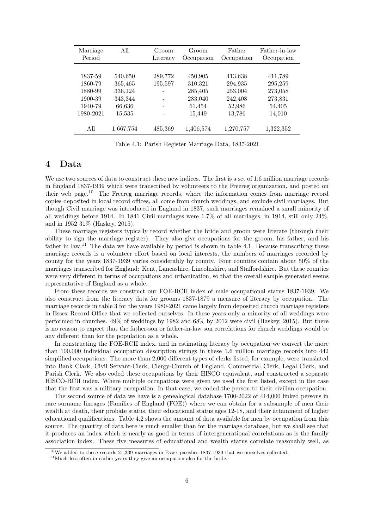| Marriage<br>Period | $A$ ll    | Groom<br>Literacy | Groom<br>Occupation | Father<br>Occupation | Father-in-law<br>Occupation |
|--------------------|-----------|-------------------|---------------------|----------------------|-----------------------------|
| 1837-59            | 540,650   | 289,772           | 450,905             |                      | 411,789                     |
| 1860-79            | 365,465   | 195,597           | 310,321             | 413,638<br>294,935   | 295,259                     |
| 1880-99            | 336,124   |                   | 285,405             | 253,004              | 273,058                     |
| 1900-39            | 343,344   |                   | 283,040             | 242,408              | 273,831                     |
| 1940-79            | 66,636    |                   | 61,454              | 52,986               | 54,405                      |
| 1980-2021          | 15,535    |                   | 15,449              | 13,786               | 14,010                      |
| All                | 1,667,754 | 485,369           | 1,406,574           | 1,270,757            | 1,322,352                   |

Table 4.1: Parish Register Marriage Data, 1837-2021

## 4 Data

We use two sources of data to construct these new indices. The first is a set of 1.6 million marriage records in England 1837-1939 which were transcribed by volunteers to the Freereg organization, and posted on their web page.<sup>10</sup> The Freereg marriage records, where the information comes from marriage record copies deposited in local record offices, all come from church weddings, and exclude civil marriages. But though Civil marriage was introduced in England in 1837, such marriages remained a small minority of all weddings before 1914. In 1841 Civil marriages were 1.7% of all marriages, in 1914, still only 24%, and in 1952 31% (Haskey, 2015).

These marriage registers typically record whether the bride and groom were literate (through their ability to sign the marriage register). They also give occupations for the groom, his father, and his father in law.<sup>11</sup> The data we have available by period is shown in table 4.1. Because transcribing these marriage records is a volunteer effort based on local interests, the numbers of marriages recorded by county for the years 1837-1939 varies considerably by county. Four counties contain about 50% of the marriages transcribed for England: Kent, Lancashire, Lincolnshire, and Staffordshire. But these counties were very different in terms of occupations and urbanization, so that the overall sample generated seems representative of England as a whole.

From these records we construct our FOE-RCII index of male occupational status 1837-1939. We also construct from the literacy data for grooms 1837-1879 a measure of literacy by occupation. The marriage records in table 3 for the years 1980-2021 came largely from deposited church marriage registers in Essex Record Office that we collected ourselves. In these years only a minority of all weddings were performed in churches. 49% of weddings by 1982 and 68% by 2012 were civil (Haskey, 2015). But there is no reason to expect that the father-son or father-in-law son correlations for church weddings would be any different than for the population as a whole.

In constructing the FOE-RCII index, and in estimating literacy by occupation we convert the more than 100,000 individual occupation description strings in these 1.6 million marriage records into 442 simplified occupations. The more than 2,000 different types of clerks listed, for example, were translated into Bank Clark, Civil Servant-Clerk, Clergy-Church of England, Commercial Clerk, Legal Clerk, and Parish Clerk. We also coded these occupations by their HISCO equivalent, and constructed a separate HISCO-RCII index. Where multiple occupations were given we used the first listed, except in the case that the first was a military occupation. In that case, we coded the person to their civilian occupation.

The second source of data we have is a genealogical database 1700-2022 of 414,000 linked persons in rare surname lineages (Families of England (FOE)) where we can obtain for a subsample of men their wealth at death, their probate status, their educational status ages 12-18, and their attainment of higher educational qualifications. Table 4.2 shows the amount of data available for men by occupation from this source. The quantity of data here is much smaller than for the marriage database, but we shall see that it produces an index which is nearly as good in terms of intergenerational correlations as is the family association index. These five measures of educational and wealth status correlate reasonably well, as

<sup>10</sup>We added to these records 21,339 marriages in Essex parishes 1837-1939 that we ourselves collected.

<sup>11</sup>Much less often in earlier years they give an occupation also for the bride.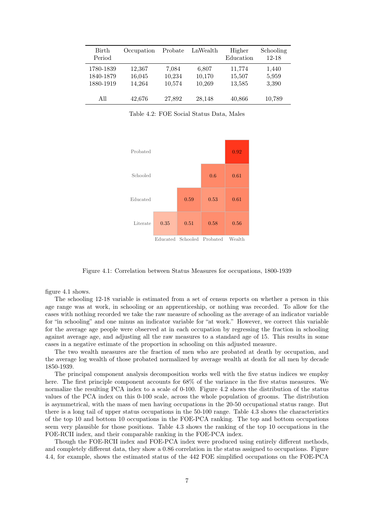| <b>Birth</b><br>Period              | Occupation                 | Probate                   | LnWealth                  | Higher<br>Education        | Schooling<br>$12 - 18$  |
|-------------------------------------|----------------------------|---------------------------|---------------------------|----------------------------|-------------------------|
| 1780-1839<br>1840-1879<br>1880-1919 | 12,367<br>16,045<br>14.264 | 7,084<br>10,234<br>10,574 | 6,807<br>10,170<br>10,269 | 11,774<br>15,507<br>13,585 | 1,440<br>5,959<br>3,390 |
| All                                 | 42,676                     | 27,892                    | 28,148                    | 40,866                     | 10,789                  |

Table 4.2: FOE Social Status Data, Males



Figure 4.1: Correlation between Status Measures for occupations, 1800-1939

figure 4.1 shows.

The schooling 12-18 variable is estimated from a set of census reports on whether a person in this age range was at work, in schooling or an apprenticeship, or nothing was recorded. To allow for the cases with nothing recorded we take the raw measure of schooling as the average of an indicator variable for "in schooling" and one minus an indicator variable for "at work." However, we correct this variable for the average age people were observed at in each occupation by regressing the fraction in schooling against average age, and adjusting all the raw measures to a standard age of 15. This results in some cases in a negative estimate of the proportion in schooling on this adjusted measure.

The two wealth measures are the fraction of men who are probated at death by occupation, and the average log wealth of those probated normalized by average wealth at death for all men by decade 1850-1939.

The principal component analysis decomposition works well with the five status indices we employ here. The first principle component accounts for 68% of the variance in the five status measures. We normalize the resulting PCA index to a scale of 0-100. Figure 4.2 shows the distribution of the status values of the PCA index on this 0-100 scale, across the whole population of grooms. The distribution is asymmetrical, with the mass of men having occupations in the 20-50 occupational status range. But there is a long tail of upper status occupations in the 50-100 range. Table 4.3 shows the characteristics of the top 10 and bottom 10 occupations in the FOE-PCA ranking. The top and bottom occupations seem very plausible for those positions. Table 4.3 shows the ranking of the top 10 occupations in the FOE-RCII index, and their comparable ranking in the FOE-PCA index.

Though the FOE-RCII index and FOE-PCA index were produced using entirely different methods, and completely different data, they show a 0.86 correlation in the status assigned to occupations. Figure 4.4, for example, shows the estimated status of the 442 FOE simplified occupations on the FOE-PCA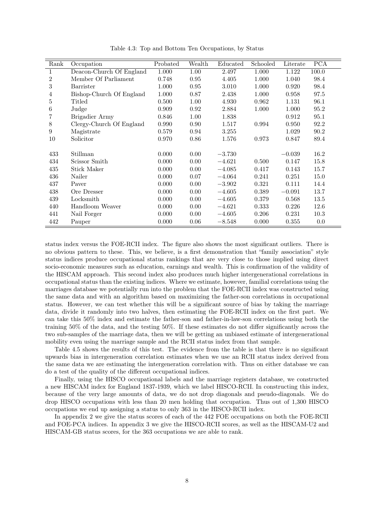| Rank | Occupation               | Probated | Wealth   | Educated | Schooled | Literate | <b>PCA</b> |
|------|--------------------------|----------|----------|----------|----------|----------|------------|
| 1    | Deacon-Church Of England | 1.000    | 1.00     | 2.497    | 1.000    | 1.122    | 100.0      |
| 2    | Member Of Parliament     | 0.748    | $0.95\,$ | 4.405    | 1.000    | 1.040    | 98.4       |
| 3    | Barrister                | 1.000    | 0.95     | 3.010    | 1.000    | 0.920    | 98.4       |
| 4    | Bishop-Church Of England | 1.000    | 0.87     | 2.438    | 1.000    | 0.958    | 97.5       |
| 5    | Titled                   | 0.500    | 1.00     | 4.930    | 0.962    | 1.131    | 96.1       |
| 6    | Judge                    | 0.909    | 0.92     | 2.884    | 1.000    | 1.000    | 95.2       |
| 7    | Brigadier Army           | 0.846    | 1.00     | 1.838    |          | 0.912    | 95.1       |
| 8    | Clergy-Church Of England | 0.990    | 0.90     | 1.517    | 0.994    | 0.950    | 92.2       |
| 9    | Magistrate               | 0.579    | 0.94     | 3.255    |          | 1.029    | 90.2       |
| 10   | Solicitor                | 0.970    | 0.86     | 1.576    | 0.973    | 0.847    | 89.4       |
|      |                          |          |          |          |          |          |            |
| 433  | Stillman                 | 0.000    | 0.00     | $-3.730$ |          | $-0.039$ | 16.2       |
| 434  | Scissor Smith            | 0.000    | 0.00     | $-4.621$ | 0.500    | 0.147    | 15.8       |
| 435  | Stick Maker              | 0.000    | 0.00     | $-4.085$ | 0.417    | 0.143    | 15.7       |
| 436  | Nailer                   | 0.000    | 0.07     | $-4.064$ | 0.241    | 0.251    | 15.0       |
| 437  | Paver                    | 0.000    | 0.00     | $-3.902$ | 0.321    | 0.111    | 14.4       |
| 438  | Ore Dresser              | 0.000    | 0.00     | $-4.605$ | 0.389    | $-0.091$ | 13.7       |
| 439  | Locksmith                | 0.000    | 0.00     | $-4.605$ | 0.379    | 0.568    | 13.5       |
| 440  | Handloom Weaver          | 0.000    | 0.00     | $-4.621$ | 0.333    | 0.226    | 12.6       |
| 441  | Nail Forger              | 0.000    | 0.00     | $-4.605$ | 0.206    | 0.231    | 10.3       |
| 442  | Pauper                   | 0.000    | 0.06     | $-8.548$ | 0.000    | 0.355    | 0.0        |

Table 4.3: Top and Bottom Ten Occupations, by Status

status index versus the FOE-RCII index. The figure also shows the most significant outliers. There is no obvious pattern to these. This, we believe, is a first demonstration that "family association" style status indices produce occupational status rankings that are very close to those implied using direct socio-economic measures such as education, earnings and wealth. This is confirmation of the validity of the HISCAM approach. This second index also produces much higher intergenerational correlations in occupational status than the existing indices. Where we estimate, however, familial correlations using the marriages database we potentially run into the problem that the FOE-RCII index was constructed using the same data and with an algorithm based on maximizing the father-son correlations in occupational status. However, we can test whether this will be a significant source of bias by taking the marriage data, divide it randomly into two halves, then estimating the FOE-RCII index on the first part. We can take this 50% index and estimate the father-son and father-in-law-son correlations using both the training 50% of the data, and the testing 50%. If these estimates do not differ significantly across the two sub-samples of the marriage data, then we will be getting an unbiased estimate of intergenerational mobility even using the marriage sample and the RCII status index from that sample.

Table 4.5 shows the results of this test. The evidence from the table is that there is no significant upwards bias in intergeneration correlation estimates when we use an RCII status index derived from the same data we are estimating the intergeneration correlation with. Thus on either database we can do a test of the quality of the different occupational indices.

Finally, using the HISCO occupational labels and the marriage registers database, we constructed a new HISCAM index for England 1837-1939, which we label HISCO-RCII. In constructing this index, because of the very large amounts of data, we do not drop diagonals and pseudo-diagonals. We do drop HISCO occupations with less than 20 men holding that occupation. Thus out of 1,300 HISCO occupations we end up assigning a status to only 363 in the HISCO-RCII index.

In appendix 2 we give the status scores of each of the 442 FOE occupations on both the FOE-RCII and FOE-PCA indices. In appendix 3 we give the HISCO-RCII scores, as well as the HISCAM-U2 and HISCAM-GB status scores, for the 363 occupations we are able to rank.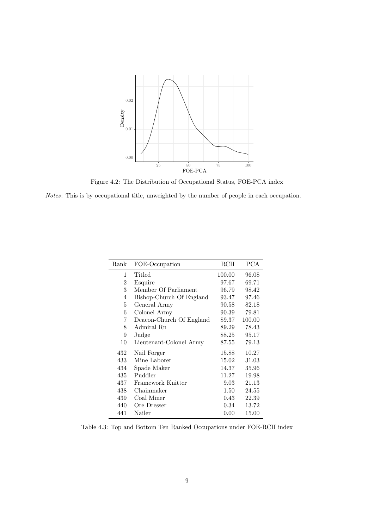

Figure 4.2: The Distribution of Occupational Status, FOE-PCA index

Notes: This is by occupational title, unweighted by the number of people in each occupation.

| Rank | FOE-Occupation           | RCII   | <b>PCA</b> |
|------|--------------------------|--------|------------|
| 1    | Titled                   | 100.00 | 96.08      |
| 2    | Esquire                  | 97.67  | 69.71      |
| 3    | Member Of Parliament     | 96.79  | 98.42      |
| 4    | Bishop-Church Of England | 93.47  | 97.46      |
| 5    | General Army             | 90.58  | 82.18      |
| 6    | Colonel Army             | 90.39  | 79.81      |
| 7    | Deacon-Church Of England | 89.37  | 100.00     |
| 8    | Admiral Rn               | 89.29  | 78.43      |
| 9    | Judge                    | 88.25  | 95.17      |
| 10   | Lieutenant-Colonel Army  | 87.55  | 79.13      |
| 432  | Nail Forger              | 15.88  | 10.27      |
| 433  | Mine Laborer             | 15.02  | 31.03      |
| 434  | Spade Maker              | 14.37  | 35.96      |
| 435  | Puddler                  | 11.27  | 19.98      |
| 437  | Framework Knitter        | 9.03   | 21.13      |
| 438  | Chainmaker               | 1.50   | 24.55      |
| 439  | Coal Miner               | 0.43   | 22.39      |
| 440  | Ore Dresser              | 0.34   | 13.72      |
| 441  | Nailer                   | 0.00   | 15.00      |

Table 4.3: Top and Bottom Ten Ranked Occupations under FOE-RCII index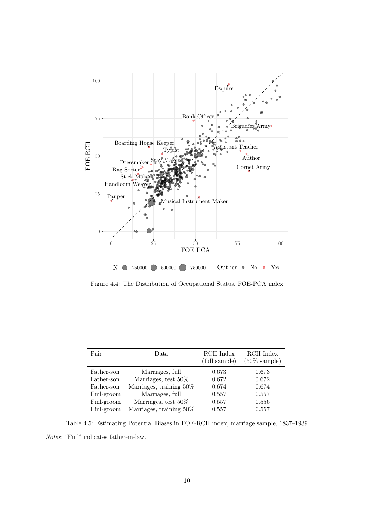

Figure 4.4: The Distribution of Occupational Status, FOE-PCA index

| Pair       | Data                    | RCII Index<br>(full sample) | RCII Index<br>$(50\% \text{ sample})$ |
|------------|-------------------------|-----------------------------|---------------------------------------|
| Father-son | Marriages, full         | 0.673                       | 0.673                                 |
| Father-son | Marriages, test 50%     | 0.672                       | 0.672                                 |
| Father-son | Marriages, training 50% | 0.674                       | 0.674                                 |
| Finl-groom | Marriages, full         | 0.557                       | 0.557                                 |
| Finl-groom | Marriages, test 50%     | 0.557                       | 0.556                                 |
| Finl-groom | Marriages, training 50% | 0.557                       | 0.557                                 |
|            |                         |                             |                                       |

Table 4.5: Estimating Potential Biases in FOE-RCII index, marriage sample, 1837–1939 Notes: "Finl" indicates father-in-law.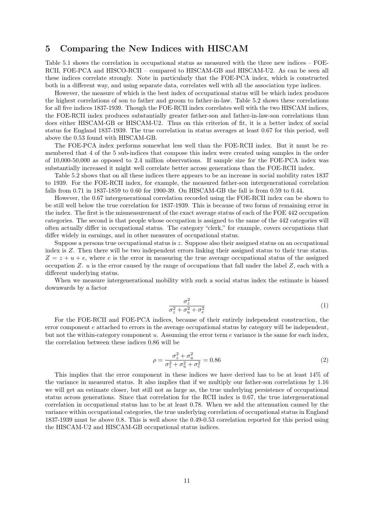## 5 Comparing the New Indices with HISCAM

Table 5.1 shows the correlation in occupational status as measured with the three new indices – FOE-RCII, FOE-PCA and HISCO-RCII – compared to HISCAM-GB and HISCAM-U2. As can be seen all these indices correlate strongly. Note in particularly that the FOE-PCA index, which is constructed both in a different way, and using separate data, correlates well with all the association type indices.

However, the measure of which is the best index of occupational status will be which index produces the highest correlations of son to father and groom to father-in-law. Table 5.2 shows these correlations for all five indices 1837-1939. Though the FOE-RCII index correlates well with the two HISCAM indices, the FOE-RCII index produces substantially greater father-son and father-in-law-son correlations than does either HISCAM-GB or HISCAM-U2. Thus on this criterion of fit, it is a better index of social status for England 1837-1939. The true correlation in status averages at least 0.67 for this period, well above the 0.53 found with HISCAM-GB.

The FOE-PCA index performs somewhat less well than the FOE-RCII index. But it must be remembered that 4 of the 5 sub-indices that compose this index were created using samples in the order of 10,000-50,000 as opposed to 2.4 million observations. If sample size for the FOE-PCA index was substantially increased it might well correlate better across generations than the FOE-RCII index.

Table 5.2 shows that on all these indices there appears to be an increase in social mobility rates 1837 to 1939. For the FOE-RCII index, for example, the measured father-son intergenerational correlation falls from 0.71 in 1837-1859 to 0.60 for 1900-39. On HISCAM-GB the fall is from 0.59 to 0.44.

However, the 0.67 intergenerational correlation recorded using the FOE-RCII index can be shown to be still well below the true correlation for 1837-1939. This is because of two forms of remaining error in the index. The first is the mismeasurement of the exact average status of each of the FOE 442 occupation categories. The second is that people whose occupation is assigned to the same of the 442 categories will often actually differ in occupational status. The category "clerk," for example, covers occupations that differ widely in earnings, and in other measures of occupational status.

Suppose a persons true occupational status is  $z$ . Suppose also their assigned status on an occupational index is Z. Then there will be two independent errors linking their assigned status to their true status.  $Z = z + u + e$ , where e is the error in measuring the true average occupational status of the assigned occupation Z.  $u$  is the error caused by the range of occupations that fall under the label Z, each with a different underlying status.

When we measure intergenerational mobility with such a social status index the estimate is biased downwards by a factor

$$
\frac{\sigma_z^2}{\sigma_z^2 + \sigma_u^2 + \sigma_e^2} \tag{1}
$$

For the FOE-RCII and FOE-PCA indices, because of their entirely independent construction, the error component e attached to errors in the average occupational status by category will be independent, but not the within-category component  $u$ . Assuming the error term  $e$  variance is the same for each index, the correlation between these indices 0.86 will be

$$
\rho = \frac{\sigma_z^2 + \sigma_u^2}{\sigma_z^2 + \sigma_u^2 + \sigma_e^2} = 0.86
$$
\n(2)

This implies that the error component in these indices we have derived has to be at least 14% of the variance in measured status. It also implies that if we multiply our father-son correlations by 1.16 we will get an estimate closer, but still not as large as, the true underlying persistence of occupational status across generations. Since that correlation for the RCII index is 0.67, the true intergenerational correlation in occupational status has to be at least 0.78. When we add the attenuation caused by the variance within occupational categories, the true underlying correlation of occupational status in England 1837-1939 must be above 0.8. This is well above the 0.49-0.53 correlation reported for this period using the HISCAM-U2 and HISCAM-GB occupational status indices.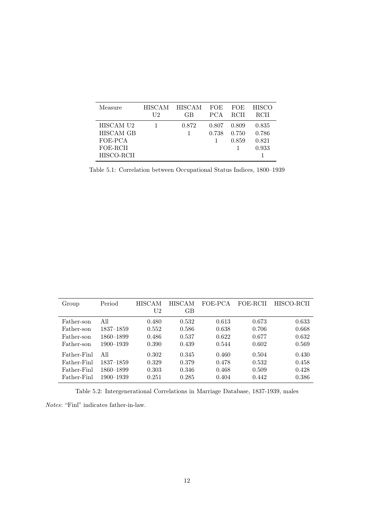| Measure                                                     | <b>HISCAM</b> | <b>HISCAM</b> | <b>FOE</b>     | <b>FOE</b>              | <b>HISCO</b>                     |
|-------------------------------------------------------------|---------------|---------------|----------------|-------------------------|----------------------------------|
|                                                             | U2            | GB            | <b>PCA</b>     | <b>RCII</b>             | <b>RCII</b>                      |
| HISCAM U2<br>HISCAM GB<br>FOE-PCA<br>FOE-RCII<br>HISCO-RCII |               | 0.872         | 0.807<br>0.738 | 0.809<br>0.750<br>0.859 | 0.835<br>0.786<br>0.821<br>0.933 |

Table 5.1: Correlation between Occupational Status Indices, 1800–1939

| Group       | Period        | HISCAM         | HISCAM | FOE-PCA | FOE-RCII | HISCO-RCII |
|-------------|---------------|----------------|--------|---------|----------|------------|
|             |               | U <sub>2</sub> | GB     |         |          |            |
| Father-son  | All           | 0.480          | 0.532  | 0.613   | 0.673    | 0.633      |
| Father-son  | $1837 - 1859$ | 0.552          | 0.586  | 0.638   | 0.706    | 0.668      |
| Father-son  | 1860–1899     | 0.486          | 0.537  | 0.622   | 0.677    | 0.632      |
| Father-son  | 1900-1939     | 0.390          | 0.439  | 0.544   | 0.602    | 0.569      |
| Father-Finl | All           | 0.302          | 0.345  | 0.460   | 0.504    | 0.430      |
| Father-Finl | 1837–1859     | 0.329          | 0.379  | 0.478   | 0.532    | 0.458      |
| Father-Finl | 1860–1899     | 0.303          | 0.346  | 0.468   | 0.509    | 0.428      |
| Father-Finl | 1900–1939     | 0.251          | 0.285  | 0.404   | 0.442    | 0.386      |

Table 5.2: Intergenerational Correlations in Marriage Database, 1837-1939, males

Notes: "Finl" indicates father-in-law.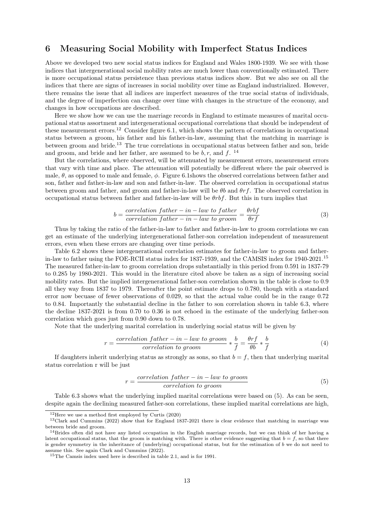## 6 Measuring Social Mobility with Imperfect Status Indices

Above we developed two new social status indices for England and Wales 1800-1939. We see with those indices that intergenerational social mobility rates are much lower than conventionally estimated. There is more occupational status persistence than previous status indices show. But we also see on all the indices that there are signs of increases in social mobility over time as England industrialized. However, there remains the issue that all indices are imperfect measures of the true social status of individuals, and the degree of imperfection can change over time with changes in the structure of the economy, and changes in how occupations are described.

Here we show how we can use the marriage records in England to estimate measures of marital occupational status assortment and intergenerational occupational correlations that should be independent of these measurement errors.<sup>12</sup> Consider figure 6.1, which shows the pattern of correlations in occupational status between a groom, his father and his father-in-law, assuming that the matching in marriage is between groom and bride.<sup>13</sup> The true correlations in occupational status between father and son, bride and groom, and bride and her father, are assumed to be  $b, r$ , and  $f$ . <sup>14</sup>

But the correlations, where observed, will be attenuated by measurement errors, measurement errors that vary with time and place. The attenuation will potentially be different where the pair observed is male,  $\theta$ , as opposed to male and female,  $\phi$ . Figure 6.1shows the observed correlations between father and son, father and father-in-law and son and father-in-law. The observed correlation in occupational status between groom and father, and groom and father-in-law will be  $\theta b$  and  $\theta rf$ . The observed correlation in occupational status between father and father-in-law will be  $\theta r \overline{b} f$ . But this in turn implies that

$$
b = \frac{correlation\ father - in - law\ to\ father}{correlation\ father - in - law\ to\ groom} = \frac{\theta rbf}{\theta rf}
$$
(3)

Thus by taking the ratio of the father-in-law to father and father-in-law to groom correlations we can get an estimate of the underlying intergenerational father-son correlation independent of measurement errors, even when these errors are changing over time periods.

Table 6.2 shows these intergenerational correlation estimates for father-in-law to groom and fatherin-law to father using the FOE-RCII status index for 1837-1939, and the CAMSIS index for 1940-2021.<sup>15</sup> The measured father-in-law to groom correlation drops substantially in this period from 0.591 in 1837-79 to 0.285 by 1980-2021. This would in the literature cited above be taken as a sign of increasing social mobility rates. But the implied intergenerational father-son correlation shown in the table is close to 0.9 all they way from 1837 to 1979. Thereafter the point estimate drops to 0.780, though with a standard error now becuase of fewer observations of 0.029, so that the actual value could be in the range 0.72 to 0.84. Importantly the substantial decline in the father to son correlation shown in table 6.3, where the decline 1837-2021 is from 0.70 to 0.36 is not echoed in the estimate of the underlying father-son correlation which goes just from 0.90 down to 0.78.

Note that the underlying marital correlation in underlying social status will be given by

$$
r = \frac{correlation\ father - in - law\ to\ groom}{correlation\ to\ groom} * \frac{b}{f} = \frac{\theta rf}{\theta b} * \frac{b}{f}
$$
(4)

If daughters inherit underlying status as strongly as sons, so that  $b = f$ , then that underlying marital status correlation r will be just

$$
r = \frac{correlation\ father - in - law\ to\ groom}{correlation\ to\ groom} \tag{5}
$$

Table 6.3 shows what the underlying implied marital correlations were based on (5). As can be seen, despite again the declining measured father-son correlations, these implied marital correlations are high,

 $12$ Here we use a method first employed by Curtis (2020)

<sup>13</sup>Clark and Cummins (2022) show that for England 1837-2021 there is clear evidence that matching in marriage was between bride and groom.

 $14$ Brides often did not have any listed occupation in the English marriage records, but we can think of her having a latent occupational status, that the groom is matching with. There is other evidence suggesting that  $b = f$ , so that there is gender symmetry in the inheritance of (underlying) occupational status, but for the estimation of b we do not need to assume this. See again Clark and Cummins (2022).

<sup>15</sup>The Camsis index used here is described in table 2.1, and is for 1991.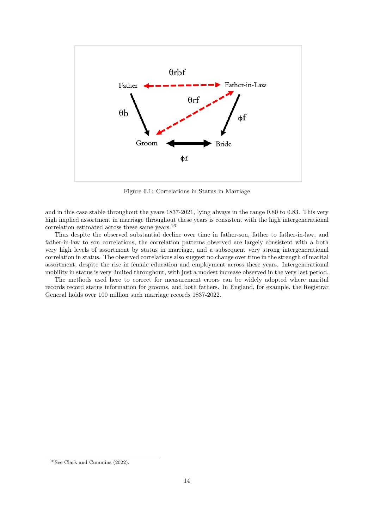

Figure 6.1: Correlations in Status in Marriage

and in this case stable throughout the years 1837-2021, lying always in the range 0.80 to 0.83. This very high implied assortment in marriage throughout these years is consistent with the high intergenerational correlation estimated across these same years.<sup>16</sup>

Thus despite the observed substantial decline over time in father-son, father to father-in-law, and father-in-law to son correlations, the correlation patterns observed are largely consistent with a both very high levels of assortment by status in marriage, and a subsequent very strong intergenerational correlation in status. The observed correlations also suggest no change over time in the strength of marital assortment, despite the rise in female education and employment across these years. Intergenerational mobility in status is very limited throughout, with just a modest increase observed in the very last period.

The methods used here to correct for measurement errors can be widely adopted where marital records record status information for grooms, and both fathers. In England, for example, the Registrar General holds over 100 million such marriage records 1837-2022.

 $16$ See Clark and Cummins (2022).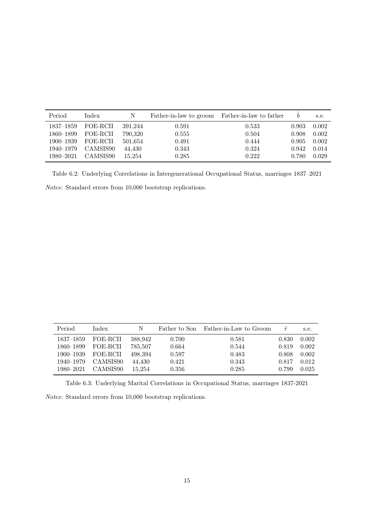| Period        | Index    | N       | Father-in-law to groom | Father-in-law to father |       | s.e.  |
|---------------|----------|---------|------------------------|-------------------------|-------|-------|
| $1837 - 1859$ | FOE-RCII | 391.244 | 0.591                  | 0.533                   | 0.903 | 0.002 |
| 1860–1899     | FOE-RCII | 790,320 | 0.555                  | 0.504                   | 0.908 | 0.002 |
| 1900-1939     | FOE-RCII | 501,654 | 0.491                  | 0.444                   | 0.905 | 0.002 |
| 1940-1979     | CAMSIS90 | 44,430  | 0.343                  | 0.324                   | 0.942 | 0.014 |
| 1980–2021     | CAMSIS90 | 15.254  | 0.285                  | 0.222                   | 0.780 | 0.029 |

Table 6.2: Underlying Correlations in Intergenerational Occupational Status, marriages 1837–2021 Notes: Standard errors from 10,000 bootstrap replications.

| Period        | Index    | N       | Father to Son | Father-in-Law to Groom | $\hat{r}$ | s.e.  |
|---------------|----------|---------|---------------|------------------------|-----------|-------|
| 1837–1859     | FOE-RCII | 388,942 | 0.700         | 0.581                  | 0.830     | 0.002 |
| 1860–1899     | FOE-RCII | 785,507 | 0.664         | 0.544                  | 0.819     | 0.002 |
| $1900 - 1939$ | FOE-RCII | 498,394 | 0.597         | 0.483                  | 0.808     | 0.002 |
| 1940–1979     | CAMSIS90 | 44,430  | 0.421         | 0.343                  | 0.817     | 0.012 |
| 1980–2021     | CAMSIS90 | 15.254  | 0.356         | 0.285                  | 0.799     | 0.025 |

Table 6.3: Underlying Marital Correlations in Occupational Status, marriages 1837-2021

Notes: Standard errors from 10,000 bootstrap replications.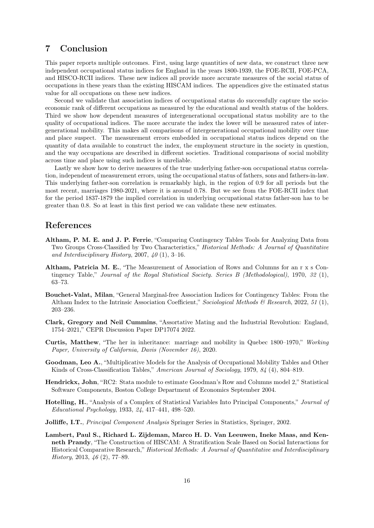# 7 Conclusion

This paper reports multiple outcomes. First, using large quantities of new data, we construct three new independent occupational status indices for England in the years 1800-1939, the FOE-RCII, FOE-PCA, and HISCO-RCII indices. These new indices all provide more accurate measures of the social status of occupations in these years than the existing HISCAM indices. The appendices give the estimated status value for all occupations on these new indices.

Second we validate that association indices of occupational status do successfully capture the socioeconomic rank of different occupations as measured by the educational and wealth status of the holders. Third we show how dependent measures of intergenerational occupational status mobility are to the quality of occupational indices. The more accurate the index the lower will be measured rates of intergenerational mobility. This makes all comparisons of intergenerational occupational mobility over time and place suspect. The measurement errors embedded in occupational status indices depend on the quantity of data available to construct the index, the employment structure in the society in question, and the way occupations are described in different societies. Traditional comparisons of social mobility across time and place using such indices is unreliable.

Lastly we show how to derive measures of the true underlying father-son occupational status correlation, independent of measurement errors, using the occupational status of fathers, sons and fathers-in-law. This underlying father-son correlation is remarkably high, in the region of 0.9 for all periods but the most recent, marriages 1980-2021, where it is around 0.78. But we see from the FOE-RCII index that for the period 1837-1879 the implied correlation in underlying occupational status father-son has to be greater than 0.8. So at least in this first period we can validate these new estimates.

#### References

- Altham, P. M. E. and J. P. Ferrie, "Comparing Contingency Tables Tools for Analyzing Data from Two Groups Cross-Classified by Two Characteristics," Historical Methods: A Journal of Quantitative and Interdisciplinary History, 2007,  $40(1)$ , 3-16.
- Altham, Patricia M. E., "The Measurement of Association of Rows and Columns for an r x s Contingency Table," Journal of the Royal Statistical Society. Series B (Methodological), 1970, 32 (1), 63–73.
- Bouchet-Valat, Milan, "General Marginal-free Association Indices for Contingency Tables: From the Altham Index to the Intrinsic Association Coefficient," Sociological Methods & Research, 2022, 51 (1), 203–236.
- Clark, Gregory and Neil Cummins, "Assortative Mating and the Industrial Revolution: England, 1754–2021," CEPR Discussion Paper DP17074 2022.
- Curtis, Matthew, "The her in inheritance: marriage and mobility in Quebec 1800–1970," Working Paper, University of California, Davis (November 16), 2020.
- Goodman, Leo A., "Multiplicative Models for the Analysis of Occupational Mobility Tables and Other Kinds of Cross-Classification Tables," American Journal of Sociology, 1979, 84 (4), 804–819.
- Hendrickx, John, "RC2: Stata module to estimate Goodman's Row and Columns model 2," Statistical Software Components, Boston College Department of Economics September 2004.
- Hotelling, H., "Analysis of a Complex of Statistical Variables Into Principal Components," Journal of Educational Psychology, 1933, 24, 417–441, 498–520.
- Jolliffe, I.T., Principal Component Analysis Springer Series in Statistics, Springer, 2002.
- Lambert, Paul S., Richard L. Zijdeman, Marco H. D. Van Leeuwen, Ineke Maas, and Kenneth Prandy, "The Construction of HISCAM: A Stratification Scale Based on Social Interactions for Historical Comparative Research," Historical Methods: A Journal of Quantitative and Interdisciplinary History, 2013, 46 (2), 77–89.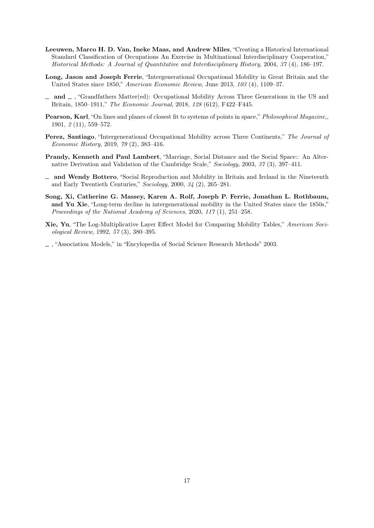- Leeuwen, Marco H. D. Van, Ineke Maas, and Andrew Miles, "Creating a Historical International Standard Classification of Occupations An Exercise in Multinational Interdisciplinary Cooperation," Historical Methods: A Journal of Quantitative and Interdisciplinary History, 2004, 37 (4), 186–197.
- Long, Jason and Joseph Ferrie, "Intergenerational Occupational Mobility in Great Britain and the United States since 1850," American Economic Review, June 2013, 103 (4), 1109–37.
- $\Box$  and  $\Box$ , "Grandfathers Matter(ed): Occupational Mobility Across Three Generations in the US and Britain, 1850–1911," The Economic Journal, 2018, 128 (612), F422–F445.
- Pearson, Karl, "On lines and planes of closest fit to systems of points in space," Philosophical Magazine,, 1901, 2 (11), 559–572.
- Perez, Santiago, "Intergenerational Occupational Mobility across Three Continents," The Journal of Economic History, 2019, 79 (2), 383–416.
- Prandy, Kenneth and Paul Lambert, "Marriage, Social Distance and the Social Space:: An Alternative Derivation and Validation of the Cambridge Scale," Sociology, 2003, 37 (3), 397–411.
- $\Box$  and Wendy Bottero, "Social Reproduction and Mobility in Britain and Ireland in the Nineteenth and Early Twentieth Centuries," Sociology, 2000, 34 (2), 265–281.
- Song, Xi, Catherine G. Massey, Karen A. Rolf, Joseph P. Ferrie, Jonathan L. Rothbaum, and Yu Xie, "Long-term decline in intergenerational mobility in the United States since the 1850s," Proceedings of the National Academy of Sciences, 2020, 117 (1), 251–258.
- Xie, Yu, "The Log-Multiplicative Layer Effect Model for Comparing Mobility Tables," American Sociological Review, 1992, 57 (3), 380–395.

, "Association Models," in "Encylopedia of Social Science Research Methods" 2003.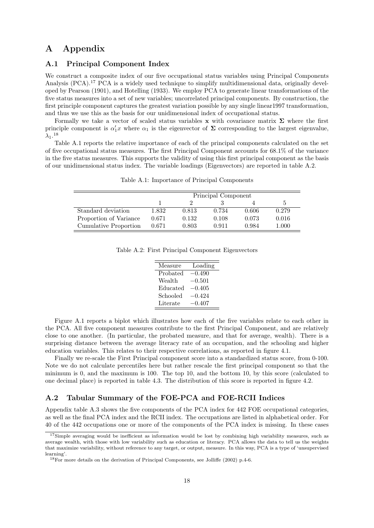# A Appendix

#### A.1 Principal Component Index

We construct a composite index of our five occupational status variables using Principal Components Analysis (PCA).<sup>17</sup> PCA is a widely used technique to simplify multidimensional data, originally developed by Pearson (1901), and Hotelling (1933). We employ PCA to generate linear transformations of the five status measures into a set of new variables; uncorrelated principal components. By construction, the first principle component captures the greatest variation possible by any single linear1997 transformation, and thus we use this as the basis for our unidimensional index of occupational status.

Formally we take a vector of scaled status variables x with covariance matrix  $\Sigma$  where the first principle component is  $\alpha'_1 x$  where  $\alpha_1$  is the eigenvector of  $\Sigma$  corresponding to the largest eigenvalue,  $\lambda_1$ .<sup>18</sup>

Table A.1 reports the relative importance of each of the principal components calculated on the set of five occupational status measures. The first Principal Component accounts for 68.1% of the variance in the five status measures. This supports the validity of using this first principal component as the basis of our unidimensional status index. The variable loadings (Eigenvectors) are reported in table A.2.

|                        | Principal Component |       |       |       |               |
|------------------------|---------------------|-------|-------|-------|---------------|
|                        |                     |       |       |       | $\mathcal{D}$ |
| Standard deviation     | 1.832               | 0.813 | 0.734 | 0.606 | 0.279         |
| Proportion of Variance | 0.671               | 0.132 | 0.108 | 0.073 | 0.016         |
| Cumulative Proportion  | 0.671               | 0.803 | 0.911 | 0.984 | 1.000         |

Table A.1: Importance of Principal Components

|  |  |  |  | Table A.2: First Principal Component Eigenvectors |
|--|--|--|--|---------------------------------------------------|
|--|--|--|--|---------------------------------------------------|

| Measure  | Loading  |
|----------|----------|
| Probated | $-0.490$ |
| Wealth   | $-0.501$ |
| Educated | $-0.405$ |
| Schooled | $-0.424$ |
| Literate | $-0.407$ |

Figure A.1 reports a biplot which illustrates how each of the five variables relate to each other in the PCA. All five component measures contribute to the first Principal Component, and are relatively close to one another. (In particular, the probated measure, and that for average, wealth). There is a surprising distance between the average literacy rate of an occupation, and the schooling and higher education variables. This relates to their respective correlations, as reported in figure 4.1.

Finally we re-scale the First Principal component score into a standardized status score, from 0-100. Note we do not calculate percentiles here but rather rescale the first principal component so that the minimum is 0, and the maximum is 100. The top 10, and the bottom 10, by this score (calculated to one decimal place) is reported in table 4.3. The distribution of this score is reported in figure 4.2.

#### A.2 Tabular Summary of the FOE-PCA and FOE-RCII Indices

Appendix table A.3 shows the five components of the PCA index for 442 FOE occupational categories, as well as the final PCA index and the RCII index. The occupations are listed in alphabetical order. For 40 of the 442 occupations one or more of the components of the PCA index is missing. In these cases

 $17$ Simple averaging would be inefficient as information would be lost by combining high variability measures, such as average wealth, with those with low variability such as education or literacy. PCA allows the data to tell us the weights that maximize variability, without reference to any target, or output, measure. In this way, PCA is a type of 'unsupervised learning'.

<sup>18</sup>For more details on the derivation of Principal Components, see Jolliffe (2002) p.4-6.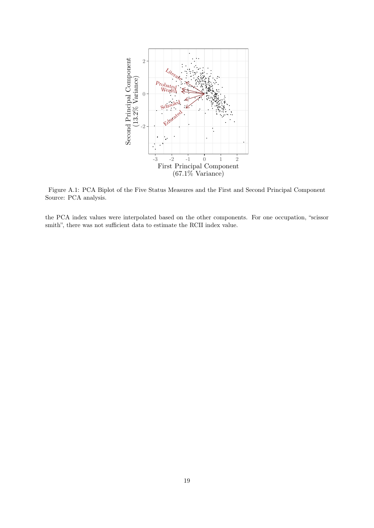

Figure A.1: PCA Biplot of the Five Status Measures and the First and Second Principal Component Source: PCA analysis.

the PCA index values were interpolated based on the other components. For one occupation, "scissor smith", there was not sufficient data to estimate the RCII index value.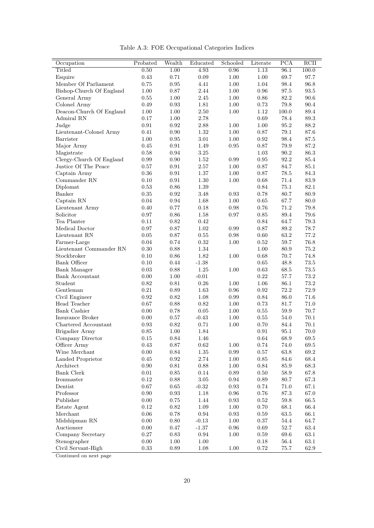|  | Table A.3: FOE Occupational Categories Indices |  |
|--|------------------------------------------------|--|
|  |                                                |  |

| Occupation                              | Probated         | Wealth             | Educated     | Schooled   | Literate         | PCA                  | RCII             |
|-----------------------------------------|------------------|--------------------|--------------|------------|------------------|----------------------|------------------|
| Titled                                  | 0.50             | 1.00               | 4.93         | 0.96       | 1.13             | 96.1                 | 100.0            |
| Esquire                                 | 0.43             | 0.71               | $0.09\,$     | $1.00\,$   | $1.00\,$         | 69.7                 | 97.7             |
| Member Of Parliament                    | $0.75\,$         | 0.95               | 4.41         | $1.00\,$   | $1.04\,$         | $98.4\,$             | $96.8\,$         |
| Bishop-Church Of England                | 1.00             | $0.87\,$           | 2.44         | 1.00       | $\rm 0.96$       | 97.5                 | $93.5\,$         |
| General Army                            | 0.55             | 1.00               | 2.45         | 1.00       | $0.86\,$         | $82.2\,$             | $90.6\,$         |
| Colonel Army                            | 0.49             | 0.93               | 1.81         | 1.00       | 0.73             | $79.8\,$             | 90.4             |
| Deacon-Church Of England                | 1.00             | 1.00               | 2.50         | 1.00       | 1.12             | 100.0                | 89.4             |
| Admiral RN                              | 0.17             | 1.00               | 2.78         |            | $0.69\,$         | 78.4                 | $89.3\,$         |
| Judge                                   | 0.91             | 0.92               | 2.88         | 1.00       | 1.00             | 95.2                 | 88.2             |
| Lieutenant-Colonel Army                 | 0.41             | 0.90               | $1.32\,$     | 1.00       | 0.87             | 79.1                 | 87.6             |
| Barrister                               | 1.00             | 0.95               | $3.01\,$     | 1.00       | 0.92             | 98.4                 | $87.5\,$         |
| Major Army                              | 0.45             | 0.91               | 1.49         | 0.95       | 0.87             | 79.9                 | 87.2             |
| Magistrate                              | 0.58             | 0.94               | $3.25\,$     |            | 1.03             | 90.2                 | 86.3             |
| Clergy-Church Of England                | 0.99             | 0.90               | 1.52         | 0.99       | 0.95             | 92.2                 | 85.4             |
| Justice Of The Peace                    | 0.57             | $\rm 0.91$         | 2.57         | 1.00       | $0.87\,$         | 84.7                 | 85.1             |
| Captain Army                            | 0.36             | 0.91               | 1.37         | 1.00       | 0.87             | 78.5                 | 84.3             |
| Commander ${\rm RN}$                    | 0.10             | 0.91               | 1.30         | 1.00       | 0.68             | 71.4                 | $83.9\,$         |
| Diplomat                                | 0.53             | 0.86               | 1.39         |            | 0.84             | 75.1                 | 82.1             |
| Banker                                  | 0.35             | 0.92               | 3.48         | 0.93       | 0.78             | 80.7                 | 80.9             |
| Captain RN                              | 0.04             | 0.94               | 1.68         | 1.00       | 0.65             | 67.7                 | $80.0\,$         |
| Lieutenant Army                         | 0.40             | $0.77\,$           | 0.18         | 0.98       | 0.76             | $71.2\,$             | 79.8             |
| Solicitor                               | 0.97             | 0.86               | 1.58         | 0.97       | 0.85             | 89.4                 | $79.6\,$         |
| Tea Planter                             | 0.11             | 0.82               | 0.42         |            | 0.84             | 64.7                 | 79.3             |
| Medical Doctor                          | 0.97             | 0.87               | 1.02         | 0.99       | 0.87             | 89.2                 | 78.7             |
| Lieutenant RN                           | 0.05             | 0.87               | 0.55         | 0.98       | 0.60             | 63.2                 | $77.2\,$         |
| Farmer-Large                            | 0.04             | 0.74               | $\rm 0.32$   | 1.00       | 0.52             | $59.7\,$             | $76.8\,$         |
| Lieutenant Commander RN                 | $0.30\,$         | 0.88               | 1.34         |            | 1.00             | 80.9                 | $75.2\,$         |
| Stockbroker                             | 0.10             | 0.86               | 1.82         | 1.00       | 0.68             | 70.7                 | 74.8             |
| Bank Officer                            | 0.10             | $0.44\,$           | $-1.38$      |            | 0.65             | 48.8                 | $73.5\,$         |
| <b>Bank Manager</b>                     | 0.03             | 0.88               | 1.25         | 1.00       | 0.63             | 68.5                 | 73.5             |
| <b>Bank Accountant</b>                  | 0.00             | 1.00               | $-0.01$      |            | $0.22\,$         | 57.7                 | $73.2\,$         |
| Student                                 | 0.82             | 0.81               | 0.26         | 1.00       | 1.06             | 86.1                 | $73.2\,$         |
| Gentleman                               | 0.21             | 0.89               | 1.63         | 0.96       | 0.92             | $72.2\,$             | $72.9\,$         |
| Civil Engineer                          | 0.92             | 0.82               | 1.08         | 0.99       | 0.84             | 86.0                 | $71.6\,$         |
| Head Teacher                            | 0.67             | 0.88               | 0.82         | 1.00       | 0.73             | 81.7                 | 71.0             |
| <b>Bank Cashier</b><br>Insurance Broker | 0.00             | 0.78               | 0.05         | 1.00       | 0.55             | 59.9                 | $70.7\,$         |
|                                         | 0.00             | $0.57\,$           | $-0.43$      | 1.00       | 0.55             | $54.0\,$             | $70.1\,$         |
| Chartered Accountant                    | $\rm 0.93$       | 0.82               | $0.71\,$     | 1.00       | $0.70\,$         | 84.4                 | $70.1\,$         |
| Brigadier Army                          | $0.85\,$         | 1.00               | 1.84         |            | 0.91             | 95.1                 | $70.0\,$         |
| Company Director                        | $0.15\,$<br>0.43 | 0.84<br>0.87       | 1.46<br>0.62 | 1.00       | $0.64\,$<br>0.74 | $68.9\,$<br>74.0     | $69.5\,$<br>69.5 |
| Officer Army<br>Wine Merchant           |                  |                    |              | $0.99\,$   |                  |                      |                  |
| Landed Proprietor                       | 0.00<br>$0.45\,$ | 0.84<br>$\rm 0.92$ | 1.35<br>2.74 | 1.00       | 0.57<br>$0.85\,$ | $63.8\,$<br>$84.6\,$ | 69.2<br>68.4     |
| Architect                               | $0.90\,$         | 0.81               | 0.88         | 1.00       | 0.84             | 85.9                 | $68.3\,$         |
| Bank Clerk                              | $0.01\,$         | 0.85               | $0.14\,$     | 0.89       | 0.50             | $58.9\,$             | 67.8             |
| Ironmaster                              | 0.12             | $0.88\,$           | $3.05\,$     | 0.94       | 0.89             | $80.7\,$             | 67.3             |
| Dentist                                 | $0.67\,$         | 0.65               | $-0.32$      | 0.93       | 0.74             | $71.0\,$             | 67.1             |
| Professor                               | 0.90             | $\rm 0.93$         | 1.18         | 0.96       | 0.76             | $87.3\,$             | 67.0             |
| Publisher                               | $0.00\,$         | $0.75\,$           | 1.44         | $\rm 0.93$ | 0.52             | $59.8\,$             | $66.5\,$         |
| Estate Agent                            | $0.12\,$         | 0.82               | 1.09         | $1.00\,$   | 0.70             | $68.1\,$             | 66.4             |
| Merchant                                | 0.06             | 0.78               | 0.94         | 0.93       | 0.59             | 63.5                 | 66.1             |
| Midshipman RN                           | 0.00             | $0.80\,$           | $-0.13$      | 1.00       | 0.37             | $54.4\,$             | 64.7             |
| Auctioneer                              | 0.00             | $0.47\,$           | $-1.37$      | 0.96       | 0.69             | $52.7\,$             | 63.4             |
| Company Secretary                       | $0.27\,$         | $0.83\,$           | $\rm 0.94$   | 1.00       | 0.59             | $69.6\,$             | $63.1\,$         |
| Stenographer                            | $0.00\,$         | $1.00\,$           | $1.00\,$     |            | 0.18             | $56.4\,$             | $63.1\,$         |
| Civil Servant-High                      | $0.33\,$         | 0.89               | 1.08         | 1.00       | $0.72\,$         | 75.7                 | 62.9             |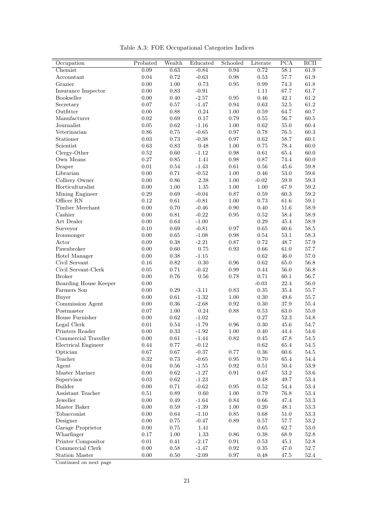| Occupation            | Probated   | Wealth     | Educated         | Schooled   | Literate   | PCA      | RCII     |
|-----------------------|------------|------------|------------------|------------|------------|----------|----------|
| Chemist               | 0.09       | 0.63       | $-0.84$          | 0.94       | 0.72       | 58.1     | 61.9     |
| Accountant            | $0.04\,$   | $0.72\,$   | $-0.63$          | $\rm 0.98$ | $0.53\,$   | $57.7\,$ | $61.9\,$ |
| Grazier               | 0.00       | $1.00\,$   | $0.73\,$         | $\rm 0.95$ | $\rm 0.99$ | 74.3     | $61.8\,$ |
| Insurance Inspector   | 0.00       | 0.83       | $-0.91$          |            | $1.11\,$   | 67.7     | $61.7\,$ |
| Bookseller            | 0.00       | 0.40       | $-2.57$          | $\rm 0.95$ | $0.46\,$   | 42.1     | $61.2\,$ |
| Secretary             | 0.07       | $0.57\,$   | $-1.47$          | $\rm 0.94$ | $\rm 0.63$ | $52.5\,$ | $61.2\,$ |
| Outfitter             | 0.00       | $0.88\,$   | 0.24             | 1.00       | 0.59       | 64.7     | 60.7     |
| Manufacturer          | 0.02       | 0.69       | $0.17\,$         | 0.79       | 0.55       | $56.7\,$ | $60.5\,$ |
| Journalist            | $0.05\,$   | $\rm 0.62$ | $\textbf{-1.16}$ | $1.00\,$   | 0.62       | $55.0\,$ | $60.4\,$ |
| Veterinarian          | 0.86       | $0.75\,$   | $-0.65$          | 0.97       | 0.78       | $76.5\,$ | $60.3\,$ |
| Stationer             | 0.03       | $0.73\,$   | $-0.38$          | 0.97       | 0.62       | $58.7\,$ | $60.1\,$ |
| Scientist             | 0.63       | 0.83       | 0.48             | 1.00       | $0.75\,$   | 78.4     | $60.0\,$ |
| Clergy-Other          | 0.52       | 0.60       | $-1.12$          | 0.98       | 0.61       | 65.4     | $60.0\,$ |
| Own Means             | $0.27\,$   | $0.85\,$   | 1.41             | $0.98\,$   | $0.87\,$   | 74.4     | $60.0\,$ |
| Draper                | $0.01\,$   | $0.54\,$   | $-1.43$          | $0.61\,$   | 0.56       | 45.6     | $59.8\,$ |
| Librarian             | 0.00       | $0.71\,$   | $-0.52$          | $1.00\,$   | 0.46       | $53.0\,$ | $59.6\,$ |
| Colliery Owner        | 0.00       | $0.86\,$   | $2.38\,$         | $1.00\,$   | $-0.02$    | $59.9\,$ | $59.3\,$ |
| Horticulturalist      | 0.00       | 1.00       | $1.35\,$         | 1.00       | 1.00       | 67.9     | $59.2\,$ |
| Mining Engineer       | 0.29       | 0.69       | $-0.04$          | 0.87       | 0.59       | 60.3     | $59.2\,$ |
| Officer RN            | 0.12       | $0.61\,$   | $-0.81$          | $1.00\,$   | 0.73       | 61.6     | $59.1\,$ |
| Timber Merchant       | 0.00       | 0.70       | $-0.46$          | 0.90       | 0.40       | 51.6     | $58.9\,$ |
| Cashier               | 0.00       | $\rm 0.81$ | $-0.22$          | 0.95       | 0.52       | 58.4     | $58.9\,$ |
| Art Dealer            | 0.00       | 0.64       | $-1.00$          |            | 0.29       | 45.4     | $58.9\,$ |
| Surveyor              | 0.10       | $0.69\,$   | $-0.81$          | 0.97       | 0.65       | 60.6     | $58.5\,$ |
| Ironmonger            | 0.00       | 0.65       | $-1.08$          | 0.98       | 0.54       | 53.1     | $58.3\,$ |
| Actor                 | 0.09       | $0.38\,$   | $-2.21$          | $0.87\,$   | 0.72       | 48.7     | $57.9\,$ |
| Pawnbroker            | 0.00       | $0.60\,$   | $0.75\,$         | $\rm 0.93$ | 0.66       | 61.0     | $57.7\,$ |
| Hotel Manager         | 0.00       | $0.38\,$   | $-1.15$          |            | $\rm 0.62$ | 46.0     | $57.0\,$ |
| Civil Servant         | 0.16       | 0.82       | $0.30\,$         | $\rm 0.96$ | 0.62       | $65.0\,$ | $56.8\,$ |
| Civil Servant-Clerk   | 0.05       | $0.71\,$   | $-0.42$          | $0.99\,$   | 0.44       | 56.0     | $56.8\,$ |
| <b>Broker</b>         | 0.00       | 0.76       | 0.56             | 0.78       | 0.71       | 60.1     | $56.7\,$ |
| Boarding House Keeper | 0.00       |            |                  |            | $-0.03$    | 22.4     | $56.0\,$ |
| Farmers Son           | 0.00       | 0.29       | $-3.11$          | 0.83       | $0.35\,$   | 35.4     | $55.7\,$ |
| Buyer                 | 0.00       | $\rm 0.61$ | $-1.32$          | 1.00       | 0.30       | 49.6     | $55.7\,$ |
| Commission Agent      | 0.00       | 0.36       | $-2.68$          | 0.92       | 0.30       | $37.9\,$ | $55.4\,$ |
| Postmaster            | 0.07       | 1.00       | 0.24             | 0.88       | 0.53       | 63.0     | $55.0\,$ |
| House Furnisher       | $0.00\,$   | $\rm 0.62$ | $-1.02$          |            | $0.27\,$   | $52.3\,$ | $54.8\,$ |
| Legal Clerk           | $0.01\,$   | $0.54\,$   | $-1.79$          | 0.96       | $0.30\,$   | $45.6\,$ | $54.7\,$ |
| Printers Reader       | 0.00       | 0.33       | $-1.92$          | 1.00       | 0.40       | 44.4     | 54.6     |
| Commercial Traveller  | $0.00\,$   | $0.61\,$   | $-1.44$          | $0.82\,$   | 0.45       | 47.8     | $54.5\,$ |
| Electrical Engineer   | 0.44       | 0.77       | $-0.12$          |            | 0.62       | 65.4     | 54.5     |
| Optician              | $0.67\,$   | 0.67       | $-0.37$          | 0.77       | 0.36       | 60.6     | $54.5\,$ |
| Teacher               | $\rm 0.32$ | $0.73\,$   | $-0.65$          | $\rm 0.95$ | $0.70\,$   | 65.4     | $54.4\,$ |
| Agent                 | $0.04\,$   | $0.56\,$   | $-1.55$          | $\rm 0.92$ | 0.51       | 50.4     | 53.9     |
| Master Mariner        | 0.00       | $\rm 0.62$ | $-1.27$          | 0.91       | 0.67       | $53.2\,$ | $53.6\,$ |
| Supervisor            | 0.03       | $\rm 0.62$ | $-1.23$          |            | 0.48       | 49.7     | $53.4\,$ |
| <b>Builder</b>        | 0.00       | 0.71       | $-0.62$          | 0.95       | 0.52       | 54.4     | 53.4     |
| Assistant Teacher     | 0.51       | 0.89       | 0.60             | 1.00       | 0.79       | 76.8     | $53.4\,$ |
| Jeweller              | $0.00\,$   | 0.49       | $-1.64$          | $0.84\,$   | $0.66\,$   | $47.4\,$ | $53.3\,$ |
| Master Baker          | $0.00\,$   | 0.59       | $-1.39$          | 1.00       | 0.20       | 48.1     | $53.3\,$ |

Table A.3: FOE Occupational Categories Indices

Tobacconist 0.00 0.64 -1.10 0.85 0.68 51.0 53.3 Designer 0.00 0.75 -0.47 0.89 0.57 57.7 53.2 Garage Proprietor 0.00 0.75 1.41 0.65 62.7 53.0 Wharfinger 0.17 1.00 1.33 0.86 0.38 68.9 52.8 Printer Compositor 0.01 0.41 -2.17 0.91 0.53 45.1 52.8 Commercial Clerk 0.00 0.58 -1.47 0.92 0.35 47.0 52.7 Station Master 0.00 0.50 -2.09 0.97 0.48 47.5 52.4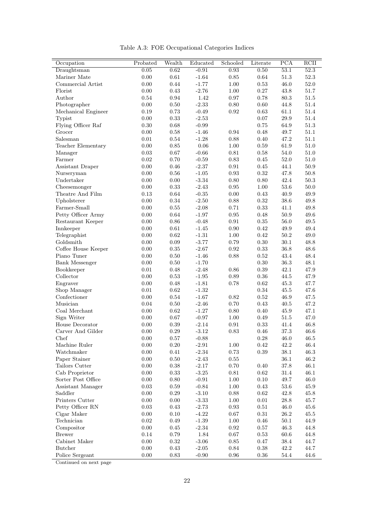|  | Table A.3: FOE Occupational Categories Indices |  |
|--|------------------------------------------------|--|
|  |                                                |  |

| Occupation            | Probated | Wealth     | Educated | Schooled   | Literate   | PCA      | RCII       |
|-----------------------|----------|------------|----------|------------|------------|----------|------------|
| Draughtsman           | 0.05     | 0.62       | $-0.91$  | 0.93       | $0.50\,$   | 53.1     | 52.3       |
| Mariner Mate          | 0.00     | $\rm 0.61$ | $-1.64$  | $0.85\,$   | 0.64       | $51.3\,$ | $52.3\,$   |
| Commercial Artist     | $0.00\,$ | $0.44\,$   | $-1.77$  | $1.00\,$   | 0.53       | $46.0\,$ | $52.0\,$   |
| Florist               | $0.00\,$ | 0.43       | $-2.76$  | $1.00\,$   | $0.27\,$   | 43.8     | $51.7\,$   |
| Author                | 0.54     | $\rm 0.94$ | 1.42     | $0.97\,$   | 0.78       | $80.3\,$ | $51.5\,$   |
| Photographer          | 0.00     | $0.50\,$   | $-2.33$  | $0.80\,$   | $0.60\,$   | 44.8     | $51.4\,$   |
| Mechanical Engineer   | 0.19     | 0.73       | $-0.49$  | 0.92       | 0.63       | 61.1     | 51.4       |
| Typist                | 0.00     | 0.33       | $-2.53$  |            | 0.07       | $29.9\,$ | $51.4\,$   |
| Flying Officer Raf    | $0.30\,$ | 0.68       | $-0.99$  |            | 0.75       | 64.9     | $51.3\,$   |
| Grocer                | 0.00     | 0.58       | $-1.46$  | 0.94       | 0.48       | 49.7     | 51.1       |
| Salesman              | 0.01     | 0.54       | $-1.28$  | $0.88\,$   | $0.40\,$   | 47.2     | 51.1       |
| Teacher Elementary    | 0.00     | 0.85       | $0.06\,$ | 1.00       | 0.59       | 61.9     | $51.0\,$   |
| Manager               | 0.03     | 0.67       | $-0.66$  | 0.81       | 0.58       | 54.0     | 51.0       |
| Farmer                | 0.02     | 0.70       | $-0.59$  | $0.83\,$   | 0.45       | 52.0     | $51.0\,$   |
| Assistant Draper      | $0.00\,$ | 0.46       | $-2.37$  | $\rm 0.91$ | 0.45       | 44.1     | $50.9\,$   |
| Nurseryman            | 0.00     | $0.56\,$   | $-1.05$  | $\rm 0.93$ | $\rm 0.32$ | 47.8     | $50.8\,$   |
| Undertaker            | 0.00     | $0.00\,$   | $-3.34$  | $0.80\,$   | $0.80\,$   | $42.4\,$ | $50.3\,$   |
| Cheesemonger          | 0.00     | $0.33\,$   | $-2.43$  | 0.95       | 1.00       | $53.6\,$ | $50.0\,$   |
| Theatre And Film      | 0.13     | 0.64       | $-0.35$  | 0.00       | 0.43       | 40.9     | 49.9       |
| Upholsterer           | $0.00\,$ | $0.34\,$   | $-2.50$  | $0.88\,$   | $\rm 0.32$ | $38.6\,$ | $\rm 49.8$ |
| Farmer-Small          | $0.00\,$ | $0.55\,$   | $-2.08$  | 0.71       | $\rm 0.33$ | 41.1     | $\rm 49.8$ |
| Petty Officer Army    | 0.00     | $\,0.64\,$ | $-1.97$  | $\rm 0.95$ | 0.48       | 50.9     | 49.6       |
| Restaurant Keeper     | 0.00     | 0.86       | $-0.48$  | 0.91       | 0.35       | 56.0     | 49.5       |
| Innkeeper             | 0.00     | 0.61       | $-1.45$  | 0.90       | 0.42       | 49.9     | 49.4       |
| Telegraphist          | 0.00     | 0.62       | $-1.31$  | 1.00       | 0.42       | 50.2     | 49.0       |
| Goldsmith             | $0.00\,$ | $0.09\,$   | $-3.77$  | 0.79       | $0.30\,$   | $30.1\,$ | $48.8\,$   |
| Coffee House Keeper   | $0.00\,$ | $0.35\,$   | $-2.67$  | $\rm 0.92$ | $\rm 0.33$ | 36.8     | $48.6\,$   |
| Piano Tuner           | 0.00     | $0.50\,$   | $-1.46$  | 0.88       | 0.52       | 43.4     | 48.4       |
| <b>Bank Messenger</b> | $0.00\,$ | 0.50       | $-1.70$  |            | $0.30\,$   | $36.3\,$ | 48.1       |
| Bookkeeper            | 0.01     | 0.48       | $-2.48$  | 0.86       | $0.39\,$   | 42.1     | 47.9       |
| Collector             | 0.00     | 0.53       | $-1.95$  | 0.89       | 0.36       | $44.5\,$ | 47.9       |
| Engraver              | 0.00     | 0.48       | $-1.81$  | 0.78       | 0.62       | 45.3     | 47.7       |
| Shop Manager          | 0.01     | 0.62       | $-1.32$  |            | 0.34       | 45.5     | 47.6       |
| Confectioner          | 0.00     | 0.54       | $-1.67$  | 0.82       | 0.52       | 46.9     | 47.5       |
| Musician              | 0.04     | 0.50       | $-2.46$  | 0.70       | 0.43       | 40.5     | 47.2       |
| Coal Merchant         | 0.00     | 0.62       | $-1.27$  | 0.80       | 0.40       | 45.9     | 47.1       |
| Sign Writer           | 0.00     | $0.67\,$   | $-0.97$  | 1.00       | 0.49       | $51.5\,$ | 47.0       |
| House Decorator       | 0.00     | 0.39       | $-2.14$  | $\rm 0.91$ | 0.33       | 41.4     | $46.8\,$   |
| Carver And Gilder     | 0.00     | $\rm 0.29$ | $-3.12$  | $\rm 0.83$ | 0.46       | $37.3\,$ | 46.6       |
| Chef                  | $0.00\,$ | $0.57\,$   | $-0.88$  |            | $0.28\,$   | 46.0     | $46.5\,$   |
| Machine Ruler         | 0.00     | 0.20       | $-2.91$  | 1.00       | 0.42       | 42.2     | 46.4       |
| Watchmaker            | 0.00     | $0.41\,$   | $-2.34$  | $0.73\,$   | 0.39       | $38.1\,$ | $46.3\,$   |
| Paper Stainer         | $0.00\,$ | $0.50\,$   | $-2.43$  | $0.55\,$   |            | $36.1\,$ | $46.2\,$   |
| Tailors Cutter        | $0.00\,$ | 0.38       | $-2.17$  | $0.70\,$   | 0.40       | 37.8     | $46.1\,$   |
| Cab Proprietor        | 0.00     | $0.33\,$   | $-3.25$  | $0.81\,$   | $\rm 0.62$ | $31.4\,$ | 46.1       |
| Sorter Post Office    | 0.00     | $0.80\,$   | $-0.91$  | $1.00\,$   | 0.10       | $49.7\,$ | $46.0\,$   |
| Assistant Manager     | 0.03     | 0.59       | $-0.84$  | 1.00       | 0.43       | 53.6     | 45.9       |
| Saddler               | 0.00     | $0.29\,$   | $-3.10$  | $0.88\,$   | 0.62       | 42.8     | 45.8       |
| Printers Cutter       | $0.00\,$ | $0.00\,$   | $-3.33$  | $1.00\,$   | 0.01       | $28.8\,$ | $45.7\,$   |
| Petty Officer RN      | 0.03     | 0.43       | $-2.73$  | 0.93       | $0.51\,$   | $46.0\,$ | $45.6\,$   |
| Cigar Maker           | 0.00     | 0.10       | $-4.22$  | 0.67       | 0.31       | 26.2     | $45.5\,$   |
| Technician            | 0.02     | $0.49\,$   | $-1.39$  | $1.00\,$   | $0.46\,$   | $50.1\,$ | $44.9\,$   |
| Compositor            | 0.00     | 0.45       | $-2.34$  | 0.92       | 0.57       | 46.3     | 44.8       |
| <b>Brewer</b>         | 0.14     | 0.79       | 1.84     | 0.67       | 0.53       | 60.6     | 44.8       |
| Cabinet Maker         | $0.00\,$ | $\rm 0.32$ | $-3.06$  | $0.85\,$   | $0.47\,$   | $38.4\,$ | 44.7       |
| <b>Butcher</b>        | $0.00\,$ | 0.43       | $-2.05$  | $0.84\,$   | $0.38\,$   | 42.2     | 44.7       |
| Police Sergeant       | 0.00     | 0.83       | $-0.90$  | 0.96       | 0.36       | $54.4\,$ | 44.6       |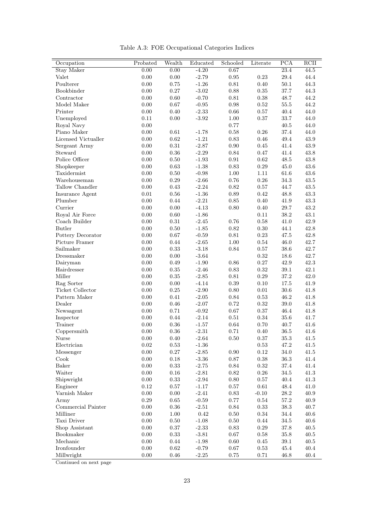| Occupation          | Probated   | Wealth     | Educated         | Schooled   | Literate   | <b>PCA</b> | RCII     |
|---------------------|------------|------------|------------------|------------|------------|------------|----------|
| <b>Stay Maker</b>   | 0.00       | 0.00       | $-4.20$          | 0.67       |            | 23.4       | 44.5     |
| Valet               | 0.00       | 0.00       | $-2.79$          | $\rm 0.95$ | $0.23\,$   | $29.4\,$   | 44.4     |
| Poulterer           | 0.00       | $0.75\,$   | $-1.26$          | 0.81       | $0.40\,$   | $50.1\,$   | $44.3\,$ |
| Bookbinder          | 0.00       | $0.27\,$   | $-3.02$          | 0.88       | $\rm 0.35$ | $37.7\,$   | $44.3\,$ |
| Contractor          | 0.00       | $0.60\,$   | $-0.70$          | $0.81\,$   | $0.38\,$   | 48.7       | $44.2\,$ |
| Model Maker         | 0.00       | $0.67\,$   | $-0.95$          | $\rm 0.98$ | 0.52       | 55.5       | 44.2     |
| Printer             | 0.00       | 0.40       | $-2.33$          | 0.66       | $0.57\,$   | 40.4       | 44.0     |
| Unemployed          | 0.11       | $0.00\,$   | $-3.92$          | 1.00       | $0.37\,$   | $33.7\,$   | 44.0     |
| Royal Navy          | 0.00       |            |                  | 0.77       |            | $40.5\,$   | 44.0     |
| Piano Maker         | 0.00       | $\rm 0.61$ | $-1.78$          | $0.58\,$   | $0.26\,$   | 37.4       | 44.0     |
| Licensed Victualler | 0.00       | $\rm 0.62$ | $-1.21$          | $0.83\,$   | $0.46\,$   | $\rm 49.4$ | $43.9\,$ |
| Sergeant Army       | 0.00       | $\rm 0.31$ | $-2.87$          | $0.90\,$   | $0.45\,$   | $41.4\,$   | $43.9\,$ |
| Steward             | 0.00       | $0.36\,$   | $-2.29$          | $\rm 0.84$ | $0.47\,$   | 41.4       | $43.8\,$ |
| Police Officer      | 0.00       | $0.50\,$   | $-1.93$          | 0.91       | 0.62       | $48.5\,$   | 43.8     |
| Shopkeeper          | 0.00       | $\rm 0.63$ | $-1.38$          | $\rm 0.83$ | 0.29       | $45.0\,$   | $43.6\,$ |
| Taxidermist         | 0.00       | 0.50       | $-0.98$          | $1.00\,$   | $1.11\,$   | 61.6       | $43.6\,$ |
| Warehouseman        | 0.00       | $\rm 0.29$ | $-2.66$          | 0.76       | 0.26       | 34.3       | $43.5\,$ |
| Tallow Chandler     | 0.00       | $0.43\,$   | $-2.24$          | $\rm 0.82$ | $0.57\,$   | 44.7       | $43.5\,$ |
| Insurance Agent     | 0.01       | 0.56       | $-1.36$          | 0.89       | 0.42       | 48.8       | $43.3\,$ |
| Plumber             | 0.00       | 0.44       | $-2.21$          | $0.85\,$   | $0.40\,$   | 41.9       | $43.3\,$ |
| Currier             | 0.00       | $0.00\,$   | $-4.13$          | $0.80\,$   | $0.40\,$   | $29.7\,$   | $43.2\,$ |
| Royal Air Force     | 0.00       | $0.60\,$   | $-1.86$          |            | $0.11\,$   | $38.2\,$   | $43.1\,$ |
| Coach Builder       | 0.00       | $\rm 0.31$ | $-2.45$          | $0.76\,$   | $\rm 0.58$ | 41.0       | $42.9\,$ |
| <b>Butler</b>       | 0.00       | $0.50\,$   | $-1.85$          | $\rm 0.82$ | $0.30\,$   | 44.1       | $42.8\,$ |
| Pottery Decorator   | 0.00       | $0.67\,$   | $-0.59$          | 0.81       | $0.23\,$   | 47.5       | 42.8     |
| Picture Framer      | 0.00       | 0.44       | $-2.65$          | $1.00\,$   | 0.54       | $46.0\,$   | $42.7\,$ |
| Sailmaker           | 0.00       | $\rm 0.33$ | $\textbf{-3.18}$ | $0.84\,$   | 0.57       | $38.6\,$   | 42.7     |
| Dressmaker          | 0.00       | 0.00       | $-3.64$          |            | $\rm 0.32$ | 18.6       | 42.7     |
| Dairyman            | 0.00       | 0.49       | $-1.90$          | $0.86\,$   | $0.27\,$   | $42.9\,$   | $42.3\,$ |
| Hairdresser         | 0.00       | $0.35\,$   | $-2.46$          | $0.83\,$   | $\rm 0.32$ | 39.1       | 42.1     |
| Miller              | 0.00       | 0.35       | $-2.85$          | 0.81       | 0.29       | $37.2\,$   | 42.0     |
| Rag Sorter          | $0.00\,$   | $0.00\,$   | $-4.14$          | $0.39\,$   | $0.10\,$   | $17.5\,$   | $41.9\,$ |
| Ticket Collector    | 0.00       | $0.25\,$   | $-2.90$          | $0.80\,$   | $0.01\,$   | $30.6\,$   | $41.8\,$ |
| Pattern Maker       | 0.00       | $0.41\,$   | $-2.05$          | $\rm 0.84$ | $0.53\,$   | 46.2       | 41.8     |
| Dealer              | 0.00       | $0.46\,$   | $-2.07$          | $0.72\,$   | $\rm 0.32$ | $39.0\,$   | $41.8\,$ |
| Newsagent           | 0.00       | $0.71\,$   | $-0.92$          | $0.67\,$   | $0.37\,$   | $46.4\,$   | 41.8     |
| Inspector           | 0.00       | 0.44       | $-2.14$          | 0.51       | 0.34       | 35.6       | 41.7     |
| Trainer             | 0.00       | $0.36\,$   | $-1.57$          | 0.64       | 0.70       | 40.7       | $41.6\,$ |
| Coppersmith         | 0.00       | $0.36\,$   | $-2.31$          | 0.71       | 0.40       | 36.5       | 41.6     |
| Nurse               | 0.00       | 0.40       | $-2.64$          | 0.50       | $0.37\,$   | $35.3\,$   | 41.5     |
| Electrician         | $\rm 0.02$ | 0.53       | $-1.36$          |            | $\rm 0.53$ | $47.2\,$   | $41.5\,$ |
| Messenger           | 0.00       | $0.27\,$   | $-2.85$          | $0.90\,$   | 0.12       | 34.0       | $41.5\,$ |
| Cook                | 0.00       | $0.18\,$   | $-3.36$          | 0.87       | 0.38       | $36.3\,$   | $41.4\,$ |
| Baker               | 0.00       | $0.33\,$   | $-2.75$          | $\rm 0.84$ | $\rm 0.32$ | 37.4       | $41.4\,$ |
| Waiter              | 0.00       | $0.16\,$   | $-2.81$          | 0.82       | 0.26       | $34.5\,$   | 41.3     |
| Shipwright          | $0.00\,$   | 0.33       | $\textbf{-2.94}$ | 0.80       | 0.57       | 40.4       | 41.3     |
| Engineer            | 0.12       | $0.57\,$   | $-1.17$          | 0.57       | $0.61\,$   | 48.4       | $41.0\,$ |
| Varnish Maker       | $0.00\,$   | $0.00\,$   | $-2.41$          | $0.83\,$   | $-0.10$    | 28.2       | $40.9\,$ |
| Army                | $0.29\,$   | $0.65\,$   | $-0.59$          | $0.77\,$   | $0.54\,$   | $57.2\,$   | $40.9\,$ |
| Commercial Painter  | 0.00       | $0.36\,$   | $-2.51$          | 0.84       | 0.33       | $38.3\,$   | $40.7\,$ |
| Milliner            | $0.00\,$   | $1.00\,$   | $\rm 0.42$       | $0.50\,$   | $0.34\,$   | 34.4       | $40.6\,$ |
| Taxi Driver         | 0.00       | $0.50\,$   | $-1.08$          | $0.50\,$   | $0.44\,$   | $34.5\,$   | $40.6\,$ |
| Shop Assistant      | 0.00       | 0.37       | $-2.33$          | 0.83       | 0.29       | $37.8\,$   | $40.5\,$ |
| Bookmaker           | 0.00       | $\rm 0.33$ | $-3.81$          | $0.67\,$   | $0.58\,$   | $35.8\,$   | $40.5\,$ |
| Mechanic            | 0.00       | $0.44\,$   | $-1.98$          | $0.60\,$   | $0.45\,$   | $39.1\,$   | $40.5\,$ |
| Ironfounder         | $0.00\,$   | 0.62       | $-0.79$          | 0.67       | 0.53       | $45.4\,$   | $40.4\,$ |
| Millwright          | 0.00       | $0.46\,$   | $-2.25$          | $0.75\,$   | $0.71\,$   | $46.8\,$   | $40.4\,$ |

Table A.3: FOE Occupational Categories Indices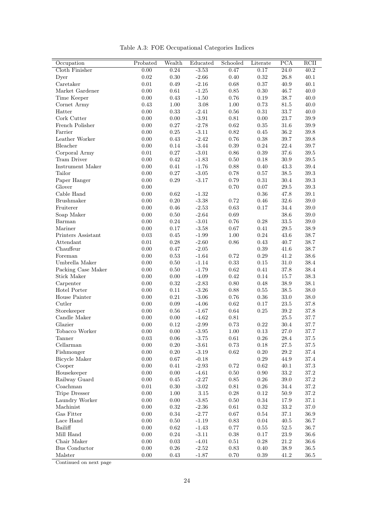|  |  |  | Table A.3: FOE Occupational Categories Indices |  |  |
|--|--|--|------------------------------------------------|--|--|
|--|--|--|------------------------------------------------|--|--|

| Occupation                  | Probated         | Wealth     | Educated           | Schooled             | Literate   | <b>PCA</b>           | RCII                 |
|-----------------------------|------------------|------------|--------------------|----------------------|------------|----------------------|----------------------|
| Cloth Finisher              | 0.00             | 0.24       | $-3.53$            | 0.47                 | 0.17       | $\overline{24.0}$    | 40.2                 |
| Dyer                        | $\rm 0.02$       | $0.30\,$   | $-2.66$            | $0.40\,$             | $\rm 0.32$ | $26.8\,$             | 40.1                 |
| $\operatorname{Caretaker}$  | $0.01\,$         | $0.49\,$   | $-2.16$            | $0.68\,$             | $0.37\,$   | 40.9                 | 40.1                 |
| Market Gardener             | 0.00             | $\,0.61\,$ | $-1.25$            | $0.85\,$             | $0.30\,$   | 46.7                 | $40.0\,$             |
| Time Keeper                 | $0.00\,$         | $0.43\,$   | $-1.50$            | $0.76\,$             | $0.19\,$   | 38.7                 | $40.0\,$             |
| Cornet Army                 | 0.43             | $1.00\,$   | 3.08               | 1.00                 | 0.73       | 81.5                 | 40.0                 |
| Hatter                      | $0.00\,$         | 0.33       | $-2.41$            | 0.56                 | 0.31       | $33.7\,$             | $40.0\,$             |
| Cork Cutter                 | $0.00\,$         | 0.00       | $\textbf{-3.91}$   | 0.81                 | 0.00       | $23.7\,$             | $39.9\,$             |
| French Polisher             | $0.00\,$         | $0.27\,$   | $-2.78$            | $\rm 0.62$           | $0.35\,$   | 31.6                 | 39.9                 |
| Farrier                     | $0.00\,$         | $0.25\,$   | $-3.11$            | $\rm 0.82$           | $0.45\,$   | $36.2\,$             | $39.8\,$             |
| Leather Worker              | $0.00\,$         | $0.43\,$   | $-2.42$            | $0.76\,$             | $0.38\,$   | $39.7\,$             | 39.8                 |
| Bleacher                    | $0.00\,$         | 0.14       | $-3.44$            | $0.39\,$             | $\rm 0.24$ | $22.4\,$             | 39.7                 |
| Corporal Army               | $0.01\,$         | $0.27\,$   | $-3.01$            | $0.86\,$             | $\rm 0.39$ | $37.6\,$             | $39.5\,$             |
| Tram Driver                 | $0.00\,$         | $\rm 0.42$ | $-1.83$            | $0.50\,$             | $0.18\,$   | $30.9\,$             | $39.5\,$             |
| Instrument Maker            | $0.00\,$         | $0.41\,$   | $-1.76$            | $0.88\,$             | 0.40       | 43.3                 | $39.4\,$             |
| Tailor                      | $0.00\,$         | $0.27\,$   | $-3.05$            | 0.78                 | 0.57       | $38.5\,$             | $39.3\,$             |
| Paper Hanger                | $0.00\,$         | $0.29\,$   | $-3.17$            | $0.79\,$             | $\rm 0.31$ | $30.4\,$             | $39.3\,$             |
| Glover                      | 0.00             |            |                    | 0.70                 | 0.07       | 29.5                 | $39.3\,$             |
| Cable Hand                  | $0.00\,$         | 0.62       | $-1.32$            |                      | 0.36       | $47.8\,$             | 39.1                 |
| Brushmaker                  | $0.00\,$         | $0.20\,$   | $-3.38$            | 0.72                 | 0.46       | $32.6\,$             | $39.0\,$             |
| Fruiterer                   | 0.00             | 0.46       | $-2.53$            | $\rm 0.63$           | $0.17\,$   | 34.4                 | $39.0\,$             |
| Soap Maker                  | $0.00\,$         | $0.50\,$   | $-2.64$            | $0.69\,$             |            | $38.6\,$             | $39.0\,$             |
| Barman                      | $0.00\,$         | $0.24\,$   | $-3.01$            | $0.76\,$             | 0.28       | $33.5\,$             | $39.0\,$             |
| Mariner                     | $0.00\,$         | 0.17       | $-3.58$            | 0.67                 | 0.41       | 29.5                 | 38.9                 |
| Printers Assistant          | $0.03\,$         | 0.45       | $-1.99$            | $1.00\,$             | $\rm 0.24$ | $43.6\,$             | $38.7\,$             |
| Attendant                   | $0.01\,$         | $0.28\,$   | $-2.60$            | $0.86\,$             | $0.43\,$   | $40.7\,$             | 38.7                 |
| Chauffeur                   | $0.00\,$         | $0.47\,$   | $-2.05$            |                      | $0.39\,$   | 41.6                 | 38.7                 |
| Foreman                     | $0.00\,$         | $0.53\,$   | $-1.64$            | 0.72                 | $\rm 0.29$ | 41.2                 | $38.6\,$             |
|                             |                  |            |                    |                      |            |                      |                      |
| Umbrella Maker              | $0.00\,$         | $0.50\,$   | $-1.14$            | $0.33\,$             | $0.15\,$   | $31.0\,$             | $38.4\,$             |
| Packing Case Maker          | 0.00             | 0.50       | $-1.79$            | 0.62                 | 0.41       | $37.8\,$             | 38.4                 |
| <b>Stick Maker</b>          | $0.00\,$         | $0.00\,$   | $-4.09$            | $0.42\,$<br>$0.80\,$ | 0.14       | $15.7\,$             | $38.3\,$<br>$38.1\,$ |
| Carpenter<br>Hotel Porter   | 0.00<br>$0.00\,$ | 0.32       | $-2.83$<br>$-3.26$ |                      | 0.48       | 38.9                 | $38.0\,$             |
|                             |                  | 0.11       |                    | 0.88                 | 0.55       | 38.5                 |                      |
| House Painter<br>Cutler     | $0.00\,$         | $0.21\,$   | $-3.06$            | $0.76\,$             | $0.36\,$   | $33.0\,$             | $38.0\,$             |
|                             | 0.00<br>$0.00\,$ | 0.09       | $-4.06$            | 0.62                 | 0.17       | 23.5                 | 37.8                 |
| Storekeeper<br>Candle Maker | $0.00\,$         | 0.56       | $-1.67$            | 0.64<br>$0.81\,$     | $0.25\,$   | $39.2\,$<br>$25.5\,$ | $37.8\,$             |
|                             |                  | $0.00\,$   | $-4.62$            |                      |            |                      | $37.7\,$             |
| Glazier<br>Tobacco Worker   | $0.00\,$         | 0.12       | $-2.99$            | $0.73\,$             | $\rm 0.22$ | $30.4\,$             | $37.7\,$             |
| Tanner                      | $0.00\,$         | $0.00\,$   | $-3.95$            | $1.00\,$             | $0.13\,$   | $27.0\,$             | $37.7\,$             |
|                             | $0.03\,$         | 0.06       | $-3.75$            | $0.61\,$             | $0.26\,$   | $28.4\,$             | $37.5\,$             |
| Cellarman                   | 0.00             | $0.20\,$   | $-3.61$            | 0.73                 | 0.18       | $27.5\,$             | $37.5\,$             |
| Fishmonger                  | $0.00\,$         | $0.20\,$   | $-3.19$            | $\rm 0.62$           | $0.20\,$   | $29.2\,$             | $37.4\,$             |
| <b>Bicycle Maker</b>        | $0.00\,$         | $0.67\,$   | $-0.18$            |                      | $\rm 0.29$ | 44.9                 | $37.4\,$             |
| Cooper                      | $0.00\,$         | 0.41       | $-2.93$            | $0.72\,$             | 0.62       | 40.1                 | $37.3\,$             |
| Housekeeper                 | $0.00\,$         | $0.00\,$   | $-4.61$            | $0.50\,$             | $0.90\,$   | $33.2\,$             | $37.2\,$             |
| Railway Guard               | $0.00\,$         | 0.45       | $-2.27$            | 0.85                 | 0.26       | 39.0                 | $37.2\,$             |
| Coachman                    | 0.01             | 0.30       | $-3.02$            | 0.81                 | $0.26\,$   | 34.4                 | $37.2\,$             |
| Tripe Dresser               | $0.00\,$         | $1.00\,$   | $3.15\,$           | $0.28\,$             | $0.12\,$   | $50.9\,$             | $37.2\,$             |
| Laundry Worker              | $0.00\,$         | $0.00\,$   | $-3.85$            | 0.50                 | 0.34       | 17.9                 | 37.1                 |
| Machinist                   | 0.00             | $\rm 0.32$ | $-2.36$            | $0.61\,$             | 0.32       | $33.2\,$             | $37.0\,$             |
| Gas Fitter                  | $0.00\,$         | $0.34\,$   | $-2.77$            | 0.67                 | 0.54       | $37.1\,$             | $36.9\,$             |
| Lace Hand                   | $0.00\,$         | 0.50       | $-1.19$            | 0.83                 | 0.04       | 40.5                 | $36.7\,$             |
| Bailiff                     | 0.00             | $0.62\,$   | $-1.43$            | $0.77\,$             | 0.55       | $52.5\,$             | $36.7\,$             |
| Mill Hand                   | $0.00\,$         | $0.24\,$   | $-3.11$            | $0.38\,$             | $0.17\,$   | $23.9\,$             | $36.6\,$             |
| Chair Maker                 | $0.00\,$         | $\rm 0.03$ | $-4.01$            | $0.51\,$             | $0.28\,$   | 21.2                 | $36.6\,$             |
| Bus Conductor               | $0.00\,$         | 0.26       | $-2.52$            | $0.83\,$             | 0.40       | $38.9\,$             | $36.5\,$             |
| Malster                     | 0.00             | 0.43       | $-1.87$            | 0.70                 | 0.39       | 41.2                 | 36.5                 |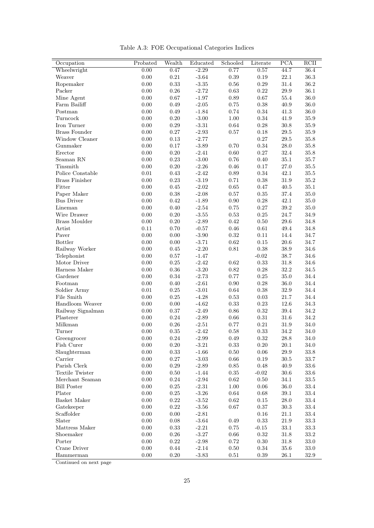|  |  |  | Table A.3: FOE Occupational Categories Indices |  |  |
|--|--|--|------------------------------------------------|--|--|
|--|--|--|------------------------------------------------|--|--|

| Occupation             | Probated | Wealth     | Educated         | Schooled   | Literate   | PCA      | RCII     |
|------------------------|----------|------------|------------------|------------|------------|----------|----------|
| Wheelwright            | 0.00     | 0.47       | $-2.29$          | 0.77       | 0.57       | 44.7     | 36.4     |
| Weaver                 | $0.00\,$ | $0.21\,$   | $-3.64$          | $0.39\,$   | $0.19\,$   | $22.1\,$ | $36.3\,$ |
| Ropemaker              | $0.00\,$ | $0.33\,$   | $-3.35$          | $0.56\,$   | $0.29\,$   | $31.4\,$ | $36.2\,$ |
| Packer                 | $0.00\,$ | $0.26\,$   | $-2.72$          | $\rm 0.63$ | $\rm 0.22$ | $29.9\,$ | $36.1\,$ |
| Mine Agent             | $0.00\,$ | $0.67\,$   | $-1.97$          | $0.89\,$   | $0.67\,$   | $55.4\,$ | $36.0\,$ |
| Farm Bailiff           | $0.00\,$ | 0.49       | $-2.05$          | $0.75\,$   | $0.38\,$   | 40.9     | $36.0\,$ |
| Postman                | $0.00\,$ | 0.49       | $-1.84$          | 0.74       | 0.34       | 41.3     | 36.0     |
| Turncock               | $0.00\,$ | $0.20\,$   | $-3.00$          | $1.00\,$   | $0.34\,$   | 41.9     | $35.9\,$ |
| Iron Turner            | $0.00\,$ | $\rm 0.29$ | $-3.31$          | $0.64\,$   | $0.28\,$   | $30.8\,$ | $35.9\,$ |
| <b>Brass Founder</b>   | $0.00\,$ | $0.27\,$   | $-2.93$          | $0.57\,$   | 0.18       | $29.5\,$ | $35.9\,$ |
| Window Cleaner         | $0.00\,$ | $0.13\,$   | $-2.77$          |            | $0.27\,$   | $29.5\,$ | $35.8\,$ |
| Gunmaker               | $0.00\,$ | $0.17\,$   | $-3.89$          | 0.70       | $\rm 0.34$ | $28.0\,$ | 35.8     |
| Erector                | $0.00\,$ | $0.20\,$   | $-2.41$          | $0.60\,$   | $0.27\,$   | $32.4\,$ | $35.8\,$ |
| Seaman RN              | $0.00\,$ | $0.23\,$   | $-3.00$          | $0.76\,$   | $0.40\,$   | $35.1\,$ | $35.7\,$ |
| Tinsmith               | $0.00\,$ | $0.20\,$   | $-2.26$          | $0.46\,$   | $0.17\,$   | $27.0\,$ | $35.5\,$ |
| Police Constable       | $0.01\,$ | $0.43\,$   | $-2.42$          | $0.89\,$   | $\rm 0.34$ | 42.1     | $35.5\,$ |
| <b>Brass Finisher</b>  | $0.00\,$ | $\rm 0.23$ | $-3.19$          | 0.71       | $0.38\,$   | $31.9\,$ | $35.2\,$ |
| Fitter                 | 0.00     | $0.45\,$   | $-2.02$          | $0.65\,$   | 0.47       | 40.5     | 35.1     |
| Paper Maker            | $0.00\,$ | $0.38\,$   | $-2.08$          | 0.57       | 0.35       | $37.4\,$ | 35.0     |
| <b>Bus Driver</b>      | $0.00\,$ | $\rm 0.42$ | $-1.89$          | $0.90\,$   | 0.28       | 42.1     | $35.0\,$ |
| Lineman                | $0.00\,$ | 0.40       | $-2.54$          | $0.75\,$   | $0.27\,$   | $39.2\,$ | $35.0\,$ |
| Wire Drawer            | $0.00\,$ | $0.20\,$   | $\textbf{-3.55}$ | $0.53\,$   | $0.25\,$   | $24.7\,$ | $34.9\,$ |
| Brass Moulder          | $0.00\,$ | $0.20\,$   | $-2.89$          | 0.42       | $0.50\,$   | $29.6\,$ | 34.8     |
| Artist                 | 0.11     | 0.70       | $-0.57$          | 0.46       | 0.61       | 49.4     | $34.8\,$ |
| Paver                  | $0.00\,$ | $0.00\,$   | $-3.90$          | $\rm 0.32$ | $0.11\,$   | 14.4     | $34.7\,$ |
| <b>Bottler</b>         | $0.00\,$ | 0.00       | $-3.71$          | $\rm 0.62$ | $0.15\,$   | $20.6\,$ | 34.7     |
| Railway Worker         | $0.00\,$ | $0.45\,$   | $-2.20$          | $0.81\,$   | $0.38\,$   | $38.9\,$ | $34.6\,$ |
| Telephonist            | $0.00\,$ | $0.57\,$   | $-1.47$          |            | $-0.02$    | $38.7\,$ | $34.6\,$ |
| Motor Driver           | $0.00\,$ | $0.25\,$   | $-2.42$          | $\rm 0.62$ | $\rm 0.33$ | $31.8\,$ | 34.6     |
| Harness Maker          | $0.00\,$ | $0.36\,$   | $-3.20$          | 0.82       | 0.28       | $32.2\,$ | 34.5     |
| Gardener               | $0.00\,$ | $0.34\,$   | $-2.73$          | 0.77       | $0.25\,$   | $35.0\,$ | $34.4\,$ |
| Footman                | $0.00\,$ | 0.40       | $-2.61$          | $0.90\,$   | $0.28\,$   | $36.0\,$ | $34.4\,$ |
| Soldier Army           | $0.01\,$ | $0.25\,$   | $-3.01$          | $\,0.64\,$ | $0.38\,$   | $32.9\,$ | $34.4\,$ |
| File Smith             | $0.00\,$ | $0.25\,$   | $-4.28$          | 0.53       | $\rm 0.03$ | 21.7     | $34.4\,$ |
| Handloom Weaver        | $0.00\,$ | $0.00\,$   | $-4.62$          | $0.33\,$   | $0.23\,$   | $12.6\,$ | 34.3     |
| Railway Signalman      | 0.00     | 0.37       | $-2.49$          | 0.86       | $\rm 0.32$ | $39.4\,$ | 34.2     |
| Plasterer              | $0.00\,$ | $0.24\,$   | $-2.89$          | $0.66\,$   | $\rm 0.31$ | $31.6\,$ | $34.2\,$ |
| Milkman                | $0.00\,$ | $0.26\,$   | $-2.51$          | $0.77\,$   | $\rm 0.21$ | $31.9\,$ | $34.0\,$ |
| Turner                 | 0.00     | $0.35\,$   | $-2.42$          | 0.58       | $\rm 0.33$ | 34.2     | 34.0     |
| Greengrocer            | $0.00\,$ | $0.24\,$   | $-2.99$          | $0.49\,$   | $\rm 0.32$ | $28.8\,$ | 34.0     |
| Fish Curer             | 0.00     | 0.20       | $-3.21$          | 0.33       | 0.20       | 20.1     | 34.0     |
| Slaughterman           | $0.00\,$ | 0.33       | $-1.66$          | 0.50       | 0.06       | $29.9\,$ | 33.8     |
| Carrier                | $0.00\,$ | 0.27       | $-3.03$          | $0.66\,$   | 0.19       | $30.5\,$ | $33.7\,$ |
| Parish Clerk           | $0.00\,$ | $0.29\,$   | $-2.89$          | $0.85\,$   | 0.48       | 40.9     | $33.6\,$ |
| <b>Textile Twister</b> | $0.00\,$ | $0.50\,$   | $-1.44$          | $0.35\,$   | $-0.02$    | $30.6\,$ | $33.6\,$ |
| Merchant Seaman        | $0.00\,$ | 0.24       | $-2.94$          | 0.62       | 0.50       | 34.1     | $33.5\,$ |
| <b>Bill Poster</b>     | 0.00     | $0.25\,$   | $-2.31$          | 1.00       | 0.06       | 36.0     | $33.4\,$ |
| Plater                 | $0.00\,$ | $0.25\,$   | $-3.26$          | 0.64       | 0.68       | 39.1     | 33.4     |
| Basket Maker           | $0.00\,$ | 0.22       | $-3.52$          | 0.62       | 0.15       | 28.0     | $33.4\,$ |
| Gatekeeper             | 0.00     | $0.22\,$   | $-3.56$          | 0.67       | 0.37       | $30.3\,$ | $33.4\,$ |
| Scaffolder             | $0.00\,$ | 0.00       | $-2.81$          |            | 0.16       | $21.1\,$ | $33.4\,$ |
| Slater                 | 0.00     | 0.08       | $-3.64$          | 0.49       | 0.33       | 21.9     | 33.3     |
| Mattress Maker         | 0.00     | 0.33       | $-2.21$          | 0.75       | $-0.15$    | 33.1     | $33.3\,$ |
| Shoemaker              | $0.00\,$ | $0.26\,$   | $-3.27$          | $0.66\,$   | $\rm 0.32$ | $31.8\,$ | $33.2\,$ |
| Porter                 | $0.00\,$ | $\rm 0.22$ | $-2.98$          | $0.72\,$   | $0.30\,$   | 31.8     | $33.0\,$ |
| Crane Driver           | $0.00\,$ | 0.44       | $-2.14$          | 0.50       | $0.34\,$   | 35.6     | $33.0\,$ |
| Hammerman              | 0.00     | 0.20       | $-3.83$          | 0.51       | 0.39       | 26.1     | 32.9     |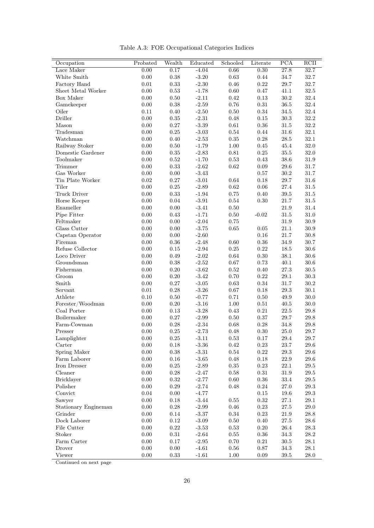| Occupation         | Probated | Wealth     | Educated | Schooled   | Literate   | PCA      | RCII     |
|--------------------|----------|------------|----------|------------|------------|----------|----------|
| Lace Maker         | 0.00     | 0.17       | $-4.04$  | 0.66       | 0.30       | 27.8     | 32.7     |
| White Smith        | 0.00     | $0.38\,$   | $-3.20$  | $\rm 0.63$ | $0.44\,$   | $34.7\,$ | 32.7     |
| Factory Hand       | $0.01\,$ | $0.33\,$   | $-2.30$  | $0.46\,$   | $\rm 0.22$ | $29.7\,$ | 32.7     |
| Sheet Metal Worker | 0.00     | $0.53\,$   | $-1.78$  | 0.60       | 0.47       | 41.1     | $32.5\,$ |
| Box Maker          | 0.00     | $0.50\,$   | $-2.11$  | 0.42       | 0.13       | 30.2     | 32.4     |
| Gamekeeper         | $0.00\,$ | $0.38\,$   | $-2.59$  | $0.76\,$   | $0.31\,$   | $36.5\,$ | $32.4\,$ |
| Oiler              | 0.11     | $0.40\,$   | $-2.50$  | $0.50\,$   | $0.34\,$   | $34.5\,$ | $32.4\,$ |
| Driller            | 0.00     | $0.35\,$   | $-2.31$  | 0.48       | $0.15\,$   | $30.3\,$ | 32.2     |
| Mason              | 0.00     | 0.27       | $-3.39$  | $\,0.61\,$ | $0.36\,$   | 31.5     | $32.2\,$ |
| Tradesman          | 0.00     | $0.25\,$   | $-3.03$  | 0.54       | 0.44       | 31.6     | 32.1     |
| Watchman           | 0.00     | 0.40       | $-2.53$  | $0.35\,$   | 0.28       | 28.5     | $32.1\,$ |
| Railway Stoker     | 0.00     | $0.50\,$   | $-1.79$  | $1.00\,$   | $0.45\,$   | $45.4\,$ | $32.0\,$ |
| Domestic Gardener  | 0.00     | $0.35\,$   | $-2.83$  | $0.81\,$   | $0.25\,$   | $35.5\,$ | $32.0\,$ |
| Toolmaker          | 0.00     | $0.52\,$   | $-1.70$  | 0.53       | 0.43       | 38.6     | $31.9\,$ |
| Trimmer            | 0.00     | 0.33       | $-2.62$  | 0.62       | $0.09\,$   | 29.6     | 31.7     |
| Gas Worker         | 0.00     | 0.00       | $-3.43$  |            | 0.57       | 30.2     | 31.7     |
| Tin Plate Worker   | 0.02     | $0.27\,$   | $-3.01$  | 0.64       | 0.18       | 29.7     | $31.6\,$ |
| Tiler              | 0.00     | $0.25\,$   | $-2.89$  | $\rm 0.62$ | $0.06\,$   | 27.4     | $31.5\,$ |
| Truck Driver       | 0.00     | $\rm 0.33$ | $-1.94$  | 0.75       | 0.40       | 39.5     | $31.5\,$ |
| Horse Keeper       | 0.00     | $0.04\,$   | $-3.91$  | $0.54\,$   | 0.30       | $21.7\,$ | $31.5\,$ |
| Enameller          | 0.00     | $0.00\,$   | $-3.41$  | 0.50       |            | 21.9     | 31.4     |
| Pipe Fitter        | 0.00     | 0.43       | $-1.71$  | $0.50\,$   | $-0.02$    | 31.5     | 31.0     |
| Feltmaker          | 0.00     | 0.00       | $-2.04$  | 0.75       |            | 31.9     | $30.9\,$ |
| Glass Cutter       | 0.00     | $0.00\,$   | $-3.75$  | 0.65       | 0.05       | $21.1\,$ | $30.9\,$ |
| Capstan Operator   | 0.00     | $0.00\,$   | $-2.60$  |            | 0.16       | $21.7\,$ | $30.8\,$ |
| Fireman            | 0.00     | $0.36\,$   | $-2.48$  | $0.60\,$   | $0.36\,$   | $34.9\,$ | 30.7     |
| Refuse Collector   | 0.00     | $0.15\,$   | $-2.94$  | $0.25\,$   | $\rm 0.22$ | 18.5     | $30.6\,$ |
| Loco Driver        | 0.00     | 0.49       | $-2.02$  | $0.64\,$   | $0.30\,$   | $38.1\,$ | 30.6     |
| Groundsman         | 0.00     | $0.38\,$   | $-2.52$  | 0.67       | 0.73       | $40.1\,$ | $30.6\,$ |
| Fisherman          | 0.00     | $0.20\,$   | $-3.62$  | $\rm 0.52$ | $0.40\,$   | $27.3\,$ | $30.5\,$ |
| Groom              | 0.00     | 0.20       | $-3.42$  | 0.70       | $0.22\,$   | 29.1     | $30.3\,$ |
| Smith              | 0.00     | 0.27       | $-3.05$  | $\,0.63\,$ | $0.34\,$   | 31.7     | $30.2\,$ |
| Servant            | 0.01     | $0.28\,$   | $-3.26$  | $0.67\,$   | $0.18\,$   | $29.3\,$ | $30.1\,$ |
| Athlete            | 0.10     | 0.50       | $-0.77$  | 0.71       | $0.50\,$   | 49.9     | $30.0\,$ |
| Forester/Woodman   | 0.00     | $0.20\,$   | $-3.16$  | $1.00\,$   | $0.51\,$   | $40.5\,$ | $30.0\,$ |
| Coal Porter        | 0.00     | $0.13\,$   | $-3.28$  | 0.43       | $0.21\,$   | $22.5\,$ | $29.8\,$ |
| Boilermaker        | 0.00     | $0.27\,$   | $-2.99$  | $0.50\,$   | $0.37\,$   | $29.7\,$ | $29.8\,$ |
| Farm-Cowman        | 0.00     | 0.28       | $-2.34$  | $0.68\,$   | 0.28       | $34.8\,$ | $29.8\,$ |
| Presser            | 0.00     | $0.25\,$   | $-2.73$  | 0.48       | 0.30       | 25.0     | 29.7     |
| Lamplighter        | 0.00     | $0.25\,$   | $-3.11$  | $\rm 0.53$ | 0.17       | $29.4\,$ | $29.7\,$ |
| Carter             | $0.00\,$ | $0.18\,$   | $-3.36$  | $0.42\,$   | $0.23\,$   | $23.7\,$ | $29.6\,$ |
| Spring Maker       | 0.00     | $0.38\,$   | $-3.31$  | $0.54\,$   | $\rm 0.22$ | $29.3\,$ | $29.6\,$ |
| Farm Laborer       | 0.00     | $0.16\,$   | $-3.65$  | $0.48\,$   | 0.18       | $22.9\,$ | $29.6\,$ |
| Iron Dresser       | 0.00     | $0.25\,$   | $-2.89$  | $0.35\,$   | $0.23\,$   | $22.1\,$ | $29.5\,$ |
| Cleaner            | 0.00     | $0.28\,$   | $-2.47$  | $0.58\,$   | $0.31\,$   | $31.9\,$ | $29.5\,$ |
| <b>Bricklayer</b>  | 0.00     | $\rm 0.32$ | $-2.77$  | 0.60       | $0.36\,$   | $33.4\,$ | $29.5\,$ |
| Polisher           | $0.00\,$ | $0.29\,$   | $-2.74$  | $0.48\,$   | $0.24\,$   | $27.0\,$ | $29.3\,$ |
| Convict            | 0.04     | $0.00\,$   | $-4.77$  |            | $0.15\,$   | $19.6\,$ | $29.3\,$ |
| Sawyer             | $0.00\,$ | $0.18\,$   | $-3.44$  | $0.55\,$   | $\rm 0.32$ | $27.1\,$ | $29.1\,$ |

Table A.3: FOE Occupational Categories Indices

Stationary Engineman 0.00 0.28 -2.99 0.46 0.23 27.5 29.0 Grinder 0.00 0.14 -3.37 0.34 0.23 21.9 28.8 Dock Laborer 0.00 0.12 -3.09 0.50 0.40 27.5 28.6 File Cutter 0.00 0.22 -3.53 0.53 0.20 26.4 28.3 Stoker 0.00 0.31 -2.64 0.55 0.36 34.3 28.2 Farm Carter 0.00 0.17 -2.95 0.70 0.21 30.5 28.1 Drover 0.00 0.00 -4.61 0.56 0.87 34.3 28.1 Viewer 0.00 0.33 -1.61 1.00 0.09 39.5 28.0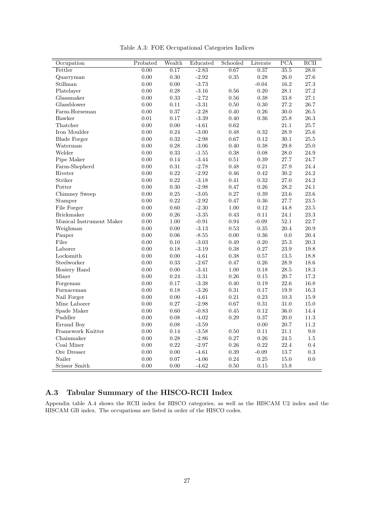| Occupation               | Probated | Wealth     | Educated | Schooled   | Literate   | $\overline{PCA}$ | $\overline{\mathrm{RCII}}$ |
|--------------------------|----------|------------|----------|------------|------------|------------------|----------------------------|
| Fettler                  | 0.00     | 0.17       | $-2.83$  | 0.67       | 0.37       | 35.5             | $\overline{28.0}$          |
| Quarryman                | 0.00     | 0.30       | $-2.92$  | 0.35       | 0.28       | $26.0\,$         | 27.6                       |
| Stillman                 | 0.00     | 0.00       | $-3.73$  |            | $-0.04$    | $16.2\,$         | $27.3\,$                   |
| Platelayer               | 0.00     | $0.28\,$   | $-3.16$  | 0.56       | 0.20       | 28.1             | $27.2\,$                   |
| Glassmaker               | 0.00     | 0.33       | $-2.72$  | $0.56\,$   | $0.38\,$   | $33.8\,$         | $27.1\,$                   |
| Glassblower              | 0.00     | $0.11\,$   | $-3.31$  | $0.50\,$   | $0.30\,$   | 27.2             | $26.7\,$                   |
| Farm-Horseman            | 0.00     | 0.37       | $-2.28$  | $0.40\,$   | $0.26\,$   | $30.0\,$         | $26.5\,$                   |
| Hawker                   | 0.01     | 0.17       | $-3.39$  | 0.40       | 0.36       | 25.8             | 26.3                       |
| Thatcher                 | 0.00     | $0.00\,$   | $-4.61$  | 0.62       |            | 21.1             | 25.7                       |
| Iron Moulder             | 0.00     | $\rm 0.24$ | $-3.00$  | 0.48       | $\rm 0.32$ | $28.9\,$         | $25.6\,$                   |
| <b>Blade Forger</b>      | 0.00     | $\rm 0.32$ | $-2.98$  | 0.67       | $0.12\,$   | 30.1             | $25.5\,$                   |
| Waterman                 | 0.00     | $0.28\,$   | $-3.06$  | 0.40       | 0.38       | 29.8             | $25.0\,$                   |
| Welder                   | 0.00     | 0.33       | $-1.55$  | 0.38       | 0.08       | 28.0             | $24.9\,$                   |
| Pipe Maker               | 0.00     | $0.14\,$   | $-3.44$  | $0.51\,$   | $\rm 0.39$ | $27.7\,$         | $24.7\,$                   |
| Farm-Shepherd            | 0.00     | 0.31       | $-2.78$  | 0.48       | 0.21       | 27.9             | 24.4                       |
| Riveter                  | 0.00     | $\rm 0.22$ | $-2.92$  | $0.46\,$   | 0.42       | 30.2             | 24.2                       |
| Striker                  | 0.00     | $\rm 0.22$ | $-3.18$  | 0.41       | $\rm 0.32$ | 27.0             | $24.2\,$                   |
| Potter                   | 0.00     | 0.30       | $-2.98$  | 0.47       | 0.26       | $28.2\,$         | $24.1\,$                   |
| Chimney Sweep            | 0.00     | $0.25\,$   | $-3.05$  | $0.27\,$   | 0.39       | $23.6\,$         | $23.6\,$                   |
| Stamper                  | 0.00     | 0.22       | $-2.92$  | $0.47\,$   | $0.36\,$   | $27.7\,$         | $23.5\,$                   |
| File Forger              | 0.00     | 0.60       | $-2.30$  | $1.00\,$   | 0.12       | 44.8             | $23.5\,$                   |
| <b>Brickmaker</b>        | 0.00     | $0.26\,$   | $-3.35$  | 0.43       | $0.11\,$   | $24.1\,$         | $23.3\,$                   |
| Musical Instrument Maker | 0.00     | 1.00       | $-0.91$  | 0.94       | $-0.09$    | 52.1             | 22.7                       |
| Weighman                 | 0.00     | $0.00\,$   | $-3.13$  | 0.53       | 0.35       | 20.4             | $20.9\,$                   |
| Pauper                   | 0.00     | $0.06\,$   | $-8.55$  | $0.00\,$   | $\rm 0.36$ | $0.0\,$          | $20.4\,$                   |
| Filer                    | 0.00     | 0.10       | $-3.03$  | 0.49       | 0.20       | $25.3\,$         | $20.3\,$                   |
| Laborer                  | 0.00     | 0.18       | $-3.19$  | 0.38       | $0.27\,$   | $23.9\,$         | 19.8                       |
| Locksmith                | 0.00     | $0.00\,$   | $-4.61$  | $0.38\,$   | $0.57\,$   | $13.5\,$         | $18.8\,$                   |
| Steelworker              | 0.00     | 0.33       | $-2.67$  | 0.47       | 0.26       | 28.9             | $18.6\,$                   |
| Hosiery Hand             | 0.00     | $0.00\,$   | $-3.41$  | 1.00       | 0.18       | $28.5\,$         | $18.3\,$                   |
| Miner                    | 0.00     | 0.24       | $-3.31$  | $\rm 0.26$ | 0.15       | 20.7             | 17.2                       |
| Forgeman                 | 0.00     | 0.17       | $-3.38$  | 0.40       | 0.19       | 22.6             | 16.8                       |
| Furnaceman               | 0.00     | $0.18\,$   | $-3.26$  | $\rm 0.31$ | 0.17       | $19.9\,$         | $16.3\,$                   |
| Nail Forger              | 0.00     | 0.00       | $-4.61$  | 0.21       | 0.23       | 10.3             | $15.9\,$                   |
| Mine Laborer             | 0.00     | $0.27\,$   | $-2.98$  | $0.67\,$   | $\rm 0.31$ | $31.0\,$         | $15.0\,$                   |
| Spade Maker              | 0.00     | $0.60\,$   | $-0.83$  | $0.45\,$   | $\rm 0.12$ | $36.0\,$         | $14.4\,$                   |
| Puddler                  | 0.00     | 0.08       | $-4.02$  | 0.29       | 0.37       | $20.0\,$         | $11.3\,$                   |
| Errand Boy               | 0.00     | 0.08       | $-3.59$  |            | 0.00       | 20.7             | $11.2\,$                   |
| Framework Knitter        | 0.00     | $0.14\,$   | $-3.58$  | 0.50       | 0.11       | 21.1             | $9.0\,$                    |
| Chainmaker               | 0.00     | 0.28       | $-2.86$  | $0.27\,$   | $0.26\,$   | $24.5\,$         | $1.5\,$                    |
| Coal Miner               | 0.00     | $\rm 0.22$ | $-2.97$  | $0.26\,$   | $0.22\,$   | 22.4             | 0.4                        |
| Ore Dresser              | 0.00     | 0.00       | $-4.61$  | 0.39       | $-0.09$    | $13.7\,$         | $\rm 0.3$                  |
| Nailer                   | 0.00     | $0.07\,$   | $-4.06$  | $0.24\,$   | $\rm 0.25$ | $15.0\,$         | 0.0                        |
| Scissor Smith            | 0.00     | 0.00       | $-4.62$  | $0.50\,$   | $0.15\,$   | 15.8             |                            |

# A.3 Tabular Summary of the HISCO-RCII Index

Appendix table A.4 shows the RCII index for HISCO categories, as well as the HISCAM U2 index and the HISCAM GB index. The occupations are listed in order of the HISCO codes.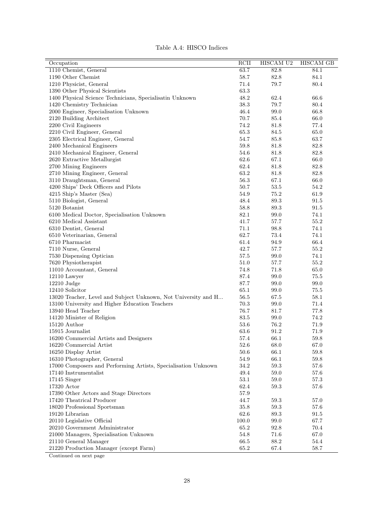| Table A.4: HISCO Indices |  |  |
|--------------------------|--|--|
|--------------------------|--|--|

| Occupation                                                     | RCII               | HISCAM U2 | <b>HISCAM GB</b> |
|----------------------------------------------------------------|--------------------|-----------|------------------|
| 1110 Chemist, General                                          | 63.7               | 82.8      | 84.1             |
| 1190 Other Chemist                                             | 58.7               | 82.8      | $84.1\,$         |
| 1210 Physicist, General                                        | 71.4               | 79.7      | 80.4             |
| 1390 Other Physical Scientists                                 | 63.3               |           |                  |
| 1400 Physical Science Technicians, Specialisatin Unknown       | 48.2               | 62.4      | 66.6             |
| 1420 Chemistry Technician                                      | 38.3               | 79.7      | 80.4             |
| 2000 Engineer, Specialisation Unknown                          | 46.4               | 99.0      | 66.8             |
| 2120 Building Architect                                        | 70.7               | 85.4      | 66.0             |
| 2200 Civil Engineers                                           | 74.2               | 81.8      | 77.4             |
| 2210 Civil Engineer, General                                   | 65.3               | 84.5      | 65.0             |
| 2305 Electrical Engineer, General                              | 54.7               | 85.8      | 63.7             |
| 2400 Mechanical Engineers                                      | 59.8               | 81.8      | 82.8             |
| 2410 Mechanical Engineer, General                              | 54.6               | 81.8      | 82.8             |
| 2620 Extractive Metallurgist                                   | 62.6               | 67.1      | 66.0             |
| 2700 Mining Engineers                                          | 62.4               | 81.8      | 82.8             |
| 2710 Mining Engineer, General                                  | 63.2               | 81.8      | $82.8\,$         |
| 3110 Draughtsman, General                                      | 56.3               | 67.1      | 66.0             |
| 4200 Ships' Deck Officers and Pilots                           | 50.7               | 53.5      | 54.2             |
| 4215 Ship's Master (Sea)                                       | 54.9               | 75.2      | 61.9             |
| 5110 Biologist, General                                        | $\hphantom{0}48.4$ | 89.3      | 91.5             |
| 5120 Botanist                                                  | 58.8               | 89.3      | 91.5             |
| 6100 Medical Doctor, Specialisation Unknown                    | 82.1               | 99.0      | 74.1             |
| 6210 Medical Assistant                                         | 41.7               | 57.7      | 55.2             |
| 6310 Dentist, General                                          | 71.1               | 98.8      | 74.1             |
| 6510 Veterinarian, General                                     | 62.7               | 73.4      | 74.1             |
| 6710 Pharmacist                                                | 61.4               | 94.9      | 66.4             |
| 7110 Nurse, General                                            | 42.7               | 57.7      | 55.2             |
| 7530 Dispensing Optician                                       | 57.5               | 99.0      | 74.1             |
| 7620 Physiotherapist                                           | $51.0\,$           | 57.7      | 55.2             |
| 11010 Accountant, General                                      | 74.8               | 71.8      | 65.0             |
| $12110$ Lawyer                                                 | 87.4               | 99.0      | 75.5             |
| $12210$ Judge                                                  | 87.7               | 99.0      | 99.0             |
| 12410 Solicitor                                                | 65.1               | 99.0      | 75.5             |
| 13020 Teacher, Level and Subject Unknown, Not University and H | 56.5               | 67.5      | 58.1             |
| 13100 University and Higher Education Teachers                 | 70.3               | 99.0      | 71.4             |
| 13940 Head Teacher                                             | 76.7               | 81.7      | 77.8             |
| 14120 Minister of Religion                                     | 83.5               | 99.0      | 74.2             |
| 15120 Author                                                   | 53.6               | 76.2      | 71.9             |
| 15915 Journalist                                               | 63.6               | 91.2      | 71.9             |
| 16200 Commercial Artists and Designers                         | $57.4\,$           | 66.1      | $59.8\,$         |
| 16220 Commercial Artist                                        | 52.6               | 68.0      | 67.0             |
| 16250 Display Artist                                           | 50.6               | 66.1      | 59.8             |
| 16310 Photographer, General                                    | 54.9               | 66.1      | $59.8\,$         |
| 17000 Composers and Performing Artists, Specialisation Unknown | 34.2               | 59.3      | $57.6\,$         |
| 17140 Instrumentalist                                          | 49.4               | 59.0      | 57.6             |
| $17145$ Singer                                                 | 53.1               | 59.0      | 57.3             |
| 17320 Actor                                                    | 62.4               | 59.3      | 57.6             |
| 17390 Other Actors and Stage Directors                         | 57.9               |           |                  |
| 17420 Theatrical Producer                                      | 44.7               | 59.3      | 57.0             |
| 18020 Professional Sportsman                                   | 35.8               | 59.3      | 57.6             |
| 19120 Librarian                                                | 62.6               | 89.3      | 91.5             |
| 20110 Legislative Official                                     | 100.0              | 99.0      | 67.7             |
| 20210 Government Administrator                                 | 65.2               | 92.8      | 70.4             |
| 21000 Managers, Specialisation Unknown                         | 54.8               | 71.6      | 67.0             |
| 21110 General Manager                                          | 66.5               | 88.2      | $54.4\,$         |
| 21220 Production Manager (except Farm)                         | 65.2               | 67.4      | 58.7             |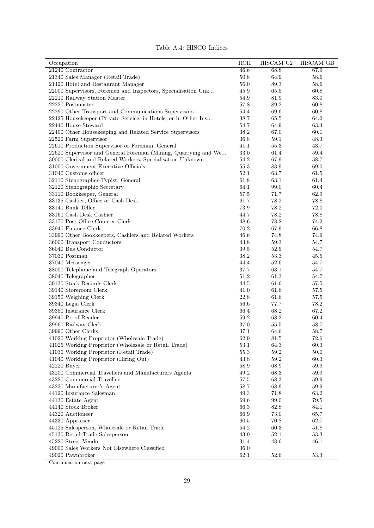| Table A.4: HISCO Indices |  |  |
|--------------------------|--|--|
|--------------------------|--|--|

| 21240 Contractor<br>46.6<br>68.8<br>67.9<br>21340 Sales Manager (Retail Trade)<br>50.8<br>58.6<br>64.9<br>56.0<br>89.3<br>58.6<br>21420 Hotel and Restaurant Manager<br>22000 Supervisors, Foremen and Inspectors, Specialisation Unk<br>45.9<br>65.5<br>60.8<br>54.9<br>81.9<br>83.0<br>22210 Railway Station Master<br>57.8<br>89.2<br>60.8<br>22220 Postmaster<br>22290 Other Transport and Communications Supervisors<br>54.4<br>69.6<br>60.8<br>22425 Housekeeper (Private Service, in Hotels, or in Other Ins<br>38.7<br>65.5<br>64.2<br>22440 House Steward<br>54.7<br>64.9<br>63.4<br>22490 Other Housekeeping and Related Service Supervisors<br>38.2<br>60.1<br>67.0<br>36.8<br>59.1<br>48.3<br>22520 Farm Supervisor<br>22610 Production Supervisor or Foreman, General<br>41.1<br>55.3<br>43.7<br>33.0<br>22620 Supervisor and General Foreman (Mining, Quarrying and We<br>61.4<br>59.4<br>30000 Clerical and Related Workers, Specialisation Unknown<br>54.2<br>67.9<br>58.7<br>31000 Government Executive Officials<br>55.3<br>83.9<br>69.0<br>52.1<br>31040 Customs officer<br>63.7<br>61.5<br>32110 Stenographer-Typist, General<br>61.8<br>63.1<br>61.4<br>32120 Stenographic Secretary<br>64.1<br>99.0<br>60.4<br>62.9<br>33110 Bookkeeper, General<br>57.5<br>71.7<br>33135 Cashier, Office or Cash Desk<br>61.7<br>78.2<br>78.8<br>33140 Bank Teller<br>73.9<br>78.2<br>72.0 |
|---------------------------------------------------------------------------------------------------------------------------------------------------------------------------------------------------------------------------------------------------------------------------------------------------------------------------------------------------------------------------------------------------------------------------------------------------------------------------------------------------------------------------------------------------------------------------------------------------------------------------------------------------------------------------------------------------------------------------------------------------------------------------------------------------------------------------------------------------------------------------------------------------------------------------------------------------------------------------------------------------------------------------------------------------------------------------------------------------------------------------------------------------------------------------------------------------------------------------------------------------------------------------------------------------------------------------------------------------------------------------------------------------|
|                                                                                                                                                                                                                                                                                                                                                                                                                                                                                                                                                                                                                                                                                                                                                                                                                                                                                                                                                                                                                                                                                                                                                                                                                                                                                                                                                                                                   |
|                                                                                                                                                                                                                                                                                                                                                                                                                                                                                                                                                                                                                                                                                                                                                                                                                                                                                                                                                                                                                                                                                                                                                                                                                                                                                                                                                                                                   |
|                                                                                                                                                                                                                                                                                                                                                                                                                                                                                                                                                                                                                                                                                                                                                                                                                                                                                                                                                                                                                                                                                                                                                                                                                                                                                                                                                                                                   |
|                                                                                                                                                                                                                                                                                                                                                                                                                                                                                                                                                                                                                                                                                                                                                                                                                                                                                                                                                                                                                                                                                                                                                                                                                                                                                                                                                                                                   |
|                                                                                                                                                                                                                                                                                                                                                                                                                                                                                                                                                                                                                                                                                                                                                                                                                                                                                                                                                                                                                                                                                                                                                                                                                                                                                                                                                                                                   |
|                                                                                                                                                                                                                                                                                                                                                                                                                                                                                                                                                                                                                                                                                                                                                                                                                                                                                                                                                                                                                                                                                                                                                                                                                                                                                                                                                                                                   |
|                                                                                                                                                                                                                                                                                                                                                                                                                                                                                                                                                                                                                                                                                                                                                                                                                                                                                                                                                                                                                                                                                                                                                                                                                                                                                                                                                                                                   |
|                                                                                                                                                                                                                                                                                                                                                                                                                                                                                                                                                                                                                                                                                                                                                                                                                                                                                                                                                                                                                                                                                                                                                                                                                                                                                                                                                                                                   |
|                                                                                                                                                                                                                                                                                                                                                                                                                                                                                                                                                                                                                                                                                                                                                                                                                                                                                                                                                                                                                                                                                                                                                                                                                                                                                                                                                                                                   |
|                                                                                                                                                                                                                                                                                                                                                                                                                                                                                                                                                                                                                                                                                                                                                                                                                                                                                                                                                                                                                                                                                                                                                                                                                                                                                                                                                                                                   |
|                                                                                                                                                                                                                                                                                                                                                                                                                                                                                                                                                                                                                                                                                                                                                                                                                                                                                                                                                                                                                                                                                                                                                                                                                                                                                                                                                                                                   |
|                                                                                                                                                                                                                                                                                                                                                                                                                                                                                                                                                                                                                                                                                                                                                                                                                                                                                                                                                                                                                                                                                                                                                                                                                                                                                                                                                                                                   |
|                                                                                                                                                                                                                                                                                                                                                                                                                                                                                                                                                                                                                                                                                                                                                                                                                                                                                                                                                                                                                                                                                                                                                                                                                                                                                                                                                                                                   |
|                                                                                                                                                                                                                                                                                                                                                                                                                                                                                                                                                                                                                                                                                                                                                                                                                                                                                                                                                                                                                                                                                                                                                                                                                                                                                                                                                                                                   |
|                                                                                                                                                                                                                                                                                                                                                                                                                                                                                                                                                                                                                                                                                                                                                                                                                                                                                                                                                                                                                                                                                                                                                                                                                                                                                                                                                                                                   |
|                                                                                                                                                                                                                                                                                                                                                                                                                                                                                                                                                                                                                                                                                                                                                                                                                                                                                                                                                                                                                                                                                                                                                                                                                                                                                                                                                                                                   |
|                                                                                                                                                                                                                                                                                                                                                                                                                                                                                                                                                                                                                                                                                                                                                                                                                                                                                                                                                                                                                                                                                                                                                                                                                                                                                                                                                                                                   |
|                                                                                                                                                                                                                                                                                                                                                                                                                                                                                                                                                                                                                                                                                                                                                                                                                                                                                                                                                                                                                                                                                                                                                                                                                                                                                                                                                                                                   |
|                                                                                                                                                                                                                                                                                                                                                                                                                                                                                                                                                                                                                                                                                                                                                                                                                                                                                                                                                                                                                                                                                                                                                                                                                                                                                                                                                                                                   |
|                                                                                                                                                                                                                                                                                                                                                                                                                                                                                                                                                                                                                                                                                                                                                                                                                                                                                                                                                                                                                                                                                                                                                                                                                                                                                                                                                                                                   |
|                                                                                                                                                                                                                                                                                                                                                                                                                                                                                                                                                                                                                                                                                                                                                                                                                                                                                                                                                                                                                                                                                                                                                                                                                                                                                                                                                                                                   |
| 33160 Cash Desk Cashier<br>78.2<br>78.8<br>44.7                                                                                                                                                                                                                                                                                                                                                                                                                                                                                                                                                                                                                                                                                                                                                                                                                                                                                                                                                                                                                                                                                                                                                                                                                                                                                                                                                   |
| 33170 Post Office Counter Clerk<br>48.6<br>78.2<br>74.2                                                                                                                                                                                                                                                                                                                                                                                                                                                                                                                                                                                                                                                                                                                                                                                                                                                                                                                                                                                                                                                                                                                                                                                                                                                                                                                                           |
| 33940 Finance Clerk<br>66.8<br>70.2<br>67.9                                                                                                                                                                                                                                                                                                                                                                                                                                                                                                                                                                                                                                                                                                                                                                                                                                                                                                                                                                                                                                                                                                                                                                                                                                                                                                                                                       |
| 33990 Other Bookkeepers, Cashiers and Related Workers<br>74.9<br>46.6<br>74.8                                                                                                                                                                                                                                                                                                                                                                                                                                                                                                                                                                                                                                                                                                                                                                                                                                                                                                                                                                                                                                                                                                                                                                                                                                                                                                                     |
| 43.8<br>59.3<br>54.7<br>36000 Transport Conductors                                                                                                                                                                                                                                                                                                                                                                                                                                                                                                                                                                                                                                                                                                                                                                                                                                                                                                                                                                                                                                                                                                                                                                                                                                                                                                                                                |
| 36040 Bus Conductor<br>$39.5\,$<br>52.5<br>54.7                                                                                                                                                                                                                                                                                                                                                                                                                                                                                                                                                                                                                                                                                                                                                                                                                                                                                                                                                                                                                                                                                                                                                                                                                                                                                                                                                   |
| 37030 Postman<br>38.2<br>53.3<br>45.5                                                                                                                                                                                                                                                                                                                                                                                                                                                                                                                                                                                                                                                                                                                                                                                                                                                                                                                                                                                                                                                                                                                                                                                                                                                                                                                                                             |
| 37040 Messenger<br>44.4<br>52.6<br>54.7                                                                                                                                                                                                                                                                                                                                                                                                                                                                                                                                                                                                                                                                                                                                                                                                                                                                                                                                                                                                                                                                                                                                                                                                                                                                                                                                                           |
| 63.1<br>38000 Telephone and Telegraph Operators<br>37.7<br>54.7                                                                                                                                                                                                                                                                                                                                                                                                                                                                                                                                                                                                                                                                                                                                                                                                                                                                                                                                                                                                                                                                                                                                                                                                                                                                                                                                   |
| 51.2<br>54.7<br>38040 Telegrapher<br>61.3                                                                                                                                                                                                                                                                                                                                                                                                                                                                                                                                                                                                                                                                                                                                                                                                                                                                                                                                                                                                                                                                                                                                                                                                                                                                                                                                                         |
| 39130 Stock Records Clerk<br>44.5<br>61.6<br>57.5                                                                                                                                                                                                                                                                                                                                                                                                                                                                                                                                                                                                                                                                                                                                                                                                                                                                                                                                                                                                                                                                                                                                                                                                                                                                                                                                                 |
| 39140 Storeroom Clerk<br>57.5<br>41.0<br>61.6                                                                                                                                                                                                                                                                                                                                                                                                                                                                                                                                                                                                                                                                                                                                                                                                                                                                                                                                                                                                                                                                                                                                                                                                                                                                                                                                                     |
| 39150 Weighing Clerk<br>22.8<br>61.6<br>57.5                                                                                                                                                                                                                                                                                                                                                                                                                                                                                                                                                                                                                                                                                                                                                                                                                                                                                                                                                                                                                                                                                                                                                                                                                                                                                                                                                      |
| 39340 Legal Clerk<br>56.6<br>77.7<br>78.2                                                                                                                                                                                                                                                                                                                                                                                                                                                                                                                                                                                                                                                                                                                                                                                                                                                                                                                                                                                                                                                                                                                                                                                                                                                                                                                                                         |
| 39350 Insurance Clerk<br>67.2<br>66.4<br>68.2                                                                                                                                                                                                                                                                                                                                                                                                                                                                                                                                                                                                                                                                                                                                                                                                                                                                                                                                                                                                                                                                                                                                                                                                                                                                                                                                                     |
| 39940 Proof Reader<br>59.2<br>68.2<br>60.4                                                                                                                                                                                                                                                                                                                                                                                                                                                                                                                                                                                                                                                                                                                                                                                                                                                                                                                                                                                                                                                                                                                                                                                                                                                                                                                                                        |
| 39960 Railway Clerk<br>37.0<br>55.5<br>58.7                                                                                                                                                                                                                                                                                                                                                                                                                                                                                                                                                                                                                                                                                                                                                                                                                                                                                                                                                                                                                                                                                                                                                                                                                                                                                                                                                       |
| 37.1<br>64.6<br>58.7<br>39990 Other Clerks                                                                                                                                                                                                                                                                                                                                                                                                                                                                                                                                                                                                                                                                                                                                                                                                                                                                                                                                                                                                                                                                                                                                                                                                                                                                                                                                                        |
| 62.9<br>72.6<br>41020 Working Proprietor (Wholesale Trade)<br>81.5                                                                                                                                                                                                                                                                                                                                                                                                                                                                                                                                                                                                                                                                                                                                                                                                                                                                                                                                                                                                                                                                                                                                                                                                                                                                                                                                |
| 41025 Working Proprietor (Wholesale or Retail Trade)<br>53.1<br>60.3<br>64.3                                                                                                                                                                                                                                                                                                                                                                                                                                                                                                                                                                                                                                                                                                                                                                                                                                                                                                                                                                                                                                                                                                                                                                                                                                                                                                                      |
| 41030 Working Proprietor (Retail Trade)<br>55.3<br>59.2<br>50.0                                                                                                                                                                                                                                                                                                                                                                                                                                                                                                                                                                                                                                                                                                                                                                                                                                                                                                                                                                                                                                                                                                                                                                                                                                                                                                                                   |
| 41040 Working Proprietor (Hiring Out)<br>43.8<br>59.2<br>$60.3\,$                                                                                                                                                                                                                                                                                                                                                                                                                                                                                                                                                                                                                                                                                                                                                                                                                                                                                                                                                                                                                                                                                                                                                                                                                                                                                                                                 |
| 42220 Buyer<br>58.9<br>68.9<br>59.9                                                                                                                                                                                                                                                                                                                                                                                                                                                                                                                                                                                                                                                                                                                                                                                                                                                                                                                                                                                                                                                                                                                                                                                                                                                                                                                                                               |
| 43200 Commercial Travellers and Manufacturers Agents<br>49.2<br>$59.9\,$<br>68.3                                                                                                                                                                                                                                                                                                                                                                                                                                                                                                                                                                                                                                                                                                                                                                                                                                                                                                                                                                                                                                                                                                                                                                                                                                                                                                                  |
| 43220 Commercial Traveller<br>57.5<br>68.3<br>59.9                                                                                                                                                                                                                                                                                                                                                                                                                                                                                                                                                                                                                                                                                                                                                                                                                                                                                                                                                                                                                                                                                                                                                                                                                                                                                                                                                |
| 43230 Manufacturer's Agent<br>58.7<br>68.9<br>59.9                                                                                                                                                                                                                                                                                                                                                                                                                                                                                                                                                                                                                                                                                                                                                                                                                                                                                                                                                                                                                                                                                                                                                                                                                                                                                                                                                |
| 44120 Insurance Salesman<br>49.3<br>71.8<br>63.2                                                                                                                                                                                                                                                                                                                                                                                                                                                                                                                                                                                                                                                                                                                                                                                                                                                                                                                                                                                                                                                                                                                                                                                                                                                                                                                                                  |
| $44130$ Estate Agent<br>69.6<br>99.0<br>79.5                                                                                                                                                                                                                                                                                                                                                                                                                                                                                                                                                                                                                                                                                                                                                                                                                                                                                                                                                                                                                                                                                                                                                                                                                                                                                                                                                      |
| 66.3<br>44140 Stock Broker<br>82.8<br>84.1                                                                                                                                                                                                                                                                                                                                                                                                                                                                                                                                                                                                                                                                                                                                                                                                                                                                                                                                                                                                                                                                                                                                                                                                                                                                                                                                                        |
| 44320 Auctioneer<br>66.9<br>73.0<br>65.7                                                                                                                                                                                                                                                                                                                                                                                                                                                                                                                                                                                                                                                                                                                                                                                                                                                                                                                                                                                                                                                                                                                                                                                                                                                                                                                                                          |
| 44330 Appraiser<br>60.5<br>70.8<br>62.7                                                                                                                                                                                                                                                                                                                                                                                                                                                                                                                                                                                                                                                                                                                                                                                                                                                                                                                                                                                                                                                                                                                                                                                                                                                                                                                                                           |
| 45125 Salesperson, Wholesale or Retail Trade<br>54.2<br>60.3<br>51.8                                                                                                                                                                                                                                                                                                                                                                                                                                                                                                                                                                                                                                                                                                                                                                                                                                                                                                                                                                                                                                                                                                                                                                                                                                                                                                                              |
| 43.9<br>52.1<br>45130 Retail Trade Salesperson<br>53.3                                                                                                                                                                                                                                                                                                                                                                                                                                                                                                                                                                                                                                                                                                                                                                                                                                                                                                                                                                                                                                                                                                                                                                                                                                                                                                                                            |
| 45220 Street Vendor<br>31.4<br>48.6<br>46.1                                                                                                                                                                                                                                                                                                                                                                                                                                                                                                                                                                                                                                                                                                                                                                                                                                                                                                                                                                                                                                                                                                                                                                                                                                                                                                                                                       |
| 49000 Sales Workers Not Elsewhere Classified<br>36.0                                                                                                                                                                                                                                                                                                                                                                                                                                                                                                                                                                                                                                                                                                                                                                                                                                                                                                                                                                                                                                                                                                                                                                                                                                                                                                                                              |
| 53.3<br>49020 Pawnbroker<br>62.1<br>52.6                                                                                                                                                                                                                                                                                                                                                                                                                                                                                                                                                                                                                                                                                                                                                                                                                                                                                                                                                                                                                                                                                                                                                                                                                                                                                                                                                          |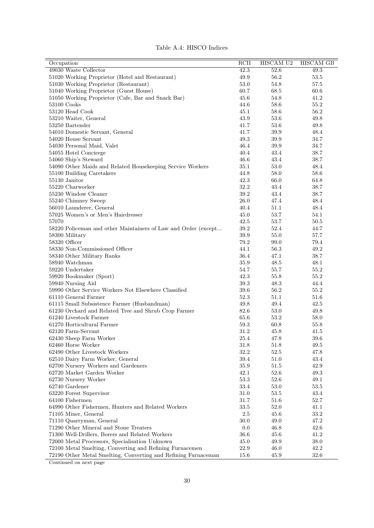| Occupation                                                     | RCII     | HISCAM U2 | <b>HISCAM GB</b> |
|----------------------------------------------------------------|----------|-----------|------------------|
| 49030 Waste Collector                                          | 42.3     | 52.6      | 49.3             |
| 51020 Working Proprietor (Hotel and Restaurant)                | 49.9     | 56.2      | $53.5\,$         |
| 51030 Working Proprietor (Restaurant)                          | 53.0     | 54.8      | 57.5             |
| 51040 Working Proprietor (Guest House)                         | 60.7     | 68.5      | 60.6             |
| 51050 Working Proprietor (Cafe, Bar and Snack Bar)             | 45.6     | 54.8      | 41.2             |
| 53100 Cooks                                                    | 44.6     | 58.6      | 55.2             |
| 53120 Head Cook                                                | 45.1     | 58.6      | 56.2             |
| 53210 Waiter, General                                          | 43.9     | 53.6      | 49.8             |
| 53250 Bartender                                                | 41.7     | 53.6      | 49.8             |
| 54010 Domestic Servant, General                                | 41.7     | 39.9      | 48.4             |
| 54020 House Servant                                            | 49.3     | 39.9      | 34.7             |
| 54030 Personal Maid, Valet                                     | 46.4     | 39.9      | 34.7             |
| 54055 Hotel Concierge                                          | 40.4     | 43.4      | 38.7             |
| 54060 Ship's Steward                                           | 46.6     | 43.4      | 38.7             |
| 54090 Other Maids and Related Housekeeping Service Workers     | 35.1     | 53.0      | 48.4             |
| 55100 Building Caretakers                                      | 44.8     | 58.0      | 58.6             |
| 55130 Janitor                                                  | 42.3     | 66.0      | 64.8             |
| 55220 Charworker                                               | $32.2\,$ | 43.4      | 38.7             |
| 55230 Window Cleaner                                           | 39.2     | 43.4      | 38.7             |
|                                                                |          |           |                  |
| 55240 Chimney Sweep                                            | 26.0     | 47.4      | 48.4             |
| 56010 Launderer, General                                       | 40.4     | 51.1      | 48.4             |
| 57025 Women's or Men's Hairdresser                             | 45.0     | 53.7      | 54.1             |
| 57070                                                          | 42.5     | 53.7      | $50.5\,$         |
| 58220 Policeman and other Maintainers of Law and Order (except | 39.2     | 52.4      | 44.7             |
| 58300 Military                                                 | 39.9     | 55.0      | 57.7             |
| 58320 Officer                                                  | 79.2     | 99.0      | 79.4             |
| 58330 Non-Commissioned Officer                                 | 44.1     | 56.3      | 49.2             |
| 58340 Other Military Ranks                                     | 36.4     | 47.1      | 38.7             |
| 58940 Watchman                                                 | 35.9     | 48.5      | 48.1             |
| 59220 Undertaker                                               | 54.7     | 55.7      | 55.2             |
| 59920 Bookmaker (Sport)                                        | 42.3     | 55.8      | 55.2             |
| 59940 Nursing Aid                                              | 39.3     | 48.3      | 44.4             |
| 59990 Other Service Workers Not Elsewhere Classified           | 39.6     | 56.2      | 55.2             |
| 61110 General Farmer                                           | 52.3     | 51.1      | 51.6             |
| 61115 Small Subsistence Farmer (Husbandman)                    | 49.8     | 49.4      | 42.5             |
| 61230 Orchard and Related Tree and Shrub Crop Farmer           | 82.6     | $53.0\,$  | 49.8             |
| 61240 Livestock Farmer                                         | 65.6     | 53.2      | 58.0             |
| 61270 Horticultural Farmer                                     | 59.3     | 60.8      | 55.8             |
| 62120 Farm-Servant                                             | 31.2     | 45.8      | 41.5             |
| 62430 Sheep Farm Worker                                        | 25.4     | 47.8      | $39.6\,$         |
| 62460 Horse Worker                                             | 31.8     | 51.8      | 49.5             |
| 62490 Other Livestock Workers                                  | 32.2     | 52.5      | 47.8             |
| 62510 Dairy Farm Worker, General                               | 39.4     | 51.0      | 43.4             |
| 62700 Nursery Workers and Gardeners                            | 35.9     | 51.5      | 42.9             |
| 62720 Market Garden Worker                                     | 42.1     | 52.6      | 49.3             |
| 62730 Nursery Worker                                           | 53.3     | 52.6      | 49.1             |
| 62740 Gardener                                                 | 33.4     | 53.0      | $53.5\,$         |
|                                                                |          |           |                  |
| 63220 Forest Supervisor                                        | 31.0     | $53.5\,$  | 43.4             |
| 64100 Fishermen                                                | 31.7     | 51.6      | $52.7\,$         |
| 64990 Other Fishermen, Hunters and Related Workers             | 33.5     | 52.0      | 41.1             |
| 71105 Miner, General                                           | $2.5\,$  | 45.6      | 33.2             |
| 71110 Quarryman, General                                       | 30.0     | 49.0      | 47.2             |
| 71290 Other Mineral and Stone Treaters                         | 0.0      | 46.8      | 42.6             |
| 71300 Well-Drillers, Borers and Related Workers                | 36.6     | 45.6      | 41.2             |
| 72000 Metal Processors, Specialisation Unknown                 | 45.0     | 49.9      | 38.0             |
| 72100 Metal Smelting, Converting and Refining Furnacemen       | 22.9     | 46.0      | 42.2             |
| 72190 Other Metal Smelting, Converting and Refining Furnaceman | 15.6     | 45.9      | 32.6             |

Table A.4: HISCO Indices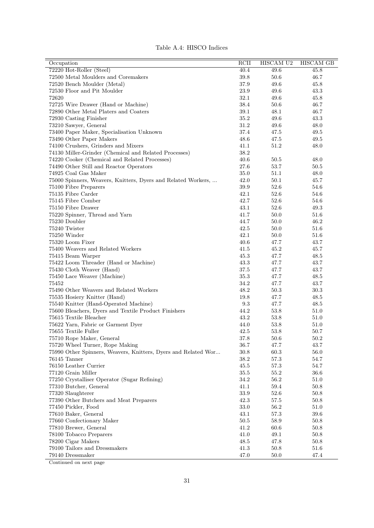| Table A.4: HISCO Indices |  |  |
|--------------------------|--|--|
|--------------------------|--|--|

| Occupation                                                     | RCII         | HISCAM U2    | <b>HISCAM GB</b> |
|----------------------------------------------------------------|--------------|--------------|------------------|
| 72220 Hot-Roller (Steel)                                       | 40.4         | 49.6         | 45.8             |
| 72500 Metal Moulders and Coremakers                            | 39.8         | 50.6         | 46.7             |
| 72520 Bench Moulder (Metal)                                    | 37.9         | 49.6         | 45.8             |
| 72530 Floor and Pit Moulder                                    | $23.9\,$     | 49.6         | 43.3             |
| 72620                                                          | 32.1         | 49.6         | 45.8             |
| 72725 Wire Drawer (Hand or Machine)                            | 38.4         | 50.6         | 46.7             |
| 72890 Other Metal Platers and Coaters                          | $39.1\,$     | 48.1         | 46.7             |
| 72930 Casting Finisher                                         | 35.2         | 49.6         | 43.3             |
| 73210 Sawyer, General                                          | 31.2         | 49.6         | 48.0             |
| 73400 Paper Maker, Specialisation Unknown                      | 37.4         | 47.5         | 49.5             |
| 73490 Other Paper Makers                                       | $48.6\,$     | 47.5         | 49.5             |
| 74100 Crushers, Grinders and Mixers                            | 41.1         | 51.2         | 48.0             |
|                                                                | 38.2         |              |                  |
| 74130 Miller-Grinder (Chemical and Related Processes)          | 40.6         |              |                  |
| 74220 Cooker (Chemical and Related Processes)                  |              | 50.5         | 48.0             |
| 74490 Other Still and Reactor Operators                        | 27.6         | 53.7         | 50.5             |
| 74925 Coal Gas Maker                                           | 35.0         | 51.1         | 48.0             |
| 75000 Spinners, Weavers, Knitters, Dyers and Related Workers,  | 42.0         | 50.1         | 45.7             |
| 75100 Fibre Preparers                                          | 39.9         | 52.6         | 54.6             |
| 75135 Fibre Carder                                             | 42.1         | 52.6         | 54.6             |
| 75145 Fibre Comber                                             | 42.7         | 52.6         | 54.6             |
| 75150 Fibre Drawer                                             | 43.1         | 52.6         | 49.3             |
| 75220 Spinner, Thread and Yarn                                 | 41.7         | 50.0         | 51.6             |
| 75230 Doubler                                                  | 44.7         | 50.0         | 46.2             |
| 75240 Twister                                                  | 42.5         | 50.0         | 51.6             |
| 75250 Winder                                                   | 42.1         | 50.0         | 51.6             |
| 75320 Loom Fixer                                               | 40.6         | 47.7         | 43.7             |
| 75400 Weavers and Related Workers                              | 41.5         | 45.2         | 45.7             |
| 75415 Beam Warper                                              | 45.3         | 47.7         | 48.5             |
| 75422 Loom Threader (Hand or Machine)                          | 43.3         | 47.7         | 43.7             |
| 75430 Cloth Weaver (Hand)                                      | 37.5         | 47.7         | 43.7             |
| 75450 Lace Weaver (Machine)                                    | 35.3         | 47.7         | 48.5             |
| 75452                                                          | 34.2         | 47.7         | 43.7             |
| 75490 Other Weavers and Related Workers                        | 48.2         | 50.3         | $30.3\,$         |
| 75535 Hosiery Knitter (Hand)                                   | 19.8         | 47.7         | 48.5             |
| 75540 Knitter (Hand-Operated Machine)                          | $\,9.3$      | 47.7         | 48.5             |
| 75600 Bleachers, Dyers and Textile Product Finishers           | 44.2         | 53.8         | 51.0             |
| 75615 Textile Bleacher                                         | 43.2         | 53.8         | 51.0             |
| 75622 Yarn, Fabric or Garment Dyer                             | 44.0         | 53.8         | 51.0             |
| 75655 Textile Fuller                                           | 42.5         | 53.8         | 50.7             |
|                                                                |              |              |                  |
| 75710 Rope Maker, General<br>75720 Wheel Turner, Rope Making   | 37.8<br>36.7 | 50.6<br>47.7 | 50.2             |
|                                                                |              |              | 43.7             |
| 75990 Other Spinners, Weavers, Knitters, Dyers and Related Wor | 30.8         | 60.3         | 56.0             |
| 76145 Tanner                                                   | 38.2         | $57.3\,$     | 54.7             |
| 76150 Leather Currier                                          | 45.5         | 57.3         | 54.7             |
| 77120 Grain Miller                                             | $35.5\,$     | 55.2         | 36.6             |
| 77250 Crystalliser Operator (Sugar Refining)                   | 34.2         | 56.2         | 51.0             |
| 77310 Butcher, General                                         | 41.1         | 59.4         | 50.8             |
| 77320 Slaughterer                                              | $33.9\,$     | 52.6         | 50.8             |
| 77390 Other Butchers and Meat Preparers                        | 42.3         | 57.5         | 50.8             |
| 77450 Pickler, Food                                            | 33.0         | 56.2         | 51.0             |
| 77610 Baker, General                                           | 43.1         | 57.3         | 39.6             |
| 77660 Confectionary Maker                                      | $50.5\,$     | 58.9         | 50.8             |
| 77810 Brewer, General                                          | 41.2         | 60.6         | 50.8             |
| 78100 Tobacco Preparers                                        | 41.0         | 49.1         | 50.8             |
| 78200 Cigar Makers                                             | 48.5         | 47.8         | 50.8             |
| 79100 Tailors and Dressmakers                                  | 41.3         | 50.8         | $51.6\,$         |
| 79140 Dressmaker                                               | 47.0         | $50.0$       | 47.4             |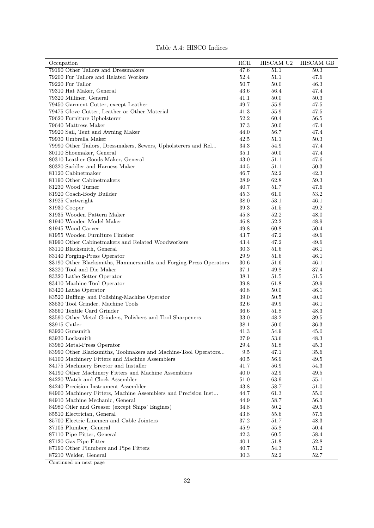| Occupation                                                        | RCII     | HISCAM U2 | <b>HISCAM GB</b> |
|-------------------------------------------------------------------|----------|-----------|------------------|
| 79190 Other Tailors and Dressmakers                               | 47.6     | 51.1      | 50.3             |
| 79200 Fur Tailors and Related Workers                             | 52.4     | 51.1      | 47.6             |
| 79220 Fur Tailor                                                  | 50.7     | 50.0      | 46.3             |
| 79310 Hat Maker, General                                          | 43.6     | 56.4      | 47.4             |
| 79320 Milliner, General                                           | 41.1     | $50.0$    | 50.3             |
| 79450 Garment Cutter, except Leather                              | 49.7     | 55.9      | 47.5             |
| 79475 Glove Cutter, Leather or Other Material                     | 41.3     | 55.9      | 47.5             |
| 79620 Furniture Upholsterer                                       | 52.2     | 60.4      | 56.5             |
| 79640 Mattress Maker                                              | 37.3     | 50.0      | 47.4             |
| 79920 Sail, Tent and Awning Maker                                 | 44.0     | 56.7      | 47.4             |
| 79930 Umbrella Maker                                              | 42.5     | 51.1      | 50.3             |
| 79990 Other Tailors, Dressmakers, Sewers, Upholsterers and Rel    | 34.3     | 54.9      | 47.4             |
| 80110 Shoemaker, General                                          | 35.1     | 50.0      | 47.4             |
| 80310 Leather Goods Maker, General                                | 43.0     | 51.1      | 47.6             |
| 80320 Saddler and Harness Maker                                   | 44.5     | 51.1      | 50.3             |
| 81120 Cabinetmaker                                                | 46.7     | 52.2      | 42.3             |
| 81190 Other Cabinetmakers                                         | 28.9     | 62.8      | 59.3             |
| 81230 Wood Turner                                                 | 40.7     | 51.7      | 47.6             |
| 81920 Coach-Body Builder                                          | 45.3     | 61.0      | 53.2             |
| 81925 Cartwright                                                  | 38.0     | 53.1      | 46.1             |
| 81930 Cooper                                                      | 39.3     | 51.5      | 49.2             |
| 81935 Wooden Pattern Maker                                        | 45.8     | 52.2      | 48.0             |
| 81940 Wooden Model Maker                                          | 46.8     | 52.2      | 48.9             |
| 81945 Wood Carver                                                 | 49.8     | 60.8      | 50.4             |
| 81955 Wooden Furniture Finisher                                   | 43.7     | 47.2      | 49.6             |
| 81990 Other Cabinetmakers and Related Woodworkers                 | 43.4     | 47.2      | 49.6             |
| 83110 Blacksmith, General                                         | 30.3     | 51.6      | 46.1             |
| 83140 Forging-Press Operator                                      | 29.9     | 51.6      | 46.1             |
| 83190 Other Blacksmiths, Hammersmiths and Forging-Press Operators | 30.6     | 51.6      | 46.1             |
| 83220 Tool and Die Maker                                          | 37.1     | 49.8      | 37.4             |
| 83320 Lathe Setter-Operator                                       | 38.1     | 51.5      | 51.5             |
| 83410 Machine-Tool Operator                                       | 39.8     | 61.8      | 59.9             |
| 83420 Lathe Operator                                              | 40.8     | 50.0      | 46.1             |
| 83520 Buffing- and Polishing-Machine Operator                     | 39.0     | 50.5      | 40.0             |
| 83530 Tool Grinder, Machine Tools                                 | 32.6     | 49.9      | 46.1             |
| 83560 Textile Card Grinder                                        | 36.6     | 51.8      | 48.3             |
| 83590 Other Metal Grinders, Polishers and Tool Sharpeners         | 33.0     | 48.2      | 39.5             |
| 83915 Cutler                                                      | 38.1     | $50.0$    | 36.3             |
| 83920 Gunsmith                                                    | 41.3     | 54.9      | 45.0             |
|                                                                   | $27.9\,$ | 53.6      | 48.3             |
| 83930 Locksmith<br>83960 Metal-Press Operator                     | 29.4     | 51.8      | 45.3             |
| 83990 Other Blacksmiths, Toolmakers and Machine-Tool Operators    | 9.5      | 47.1      | 35.6             |
|                                                                   |          | 56.9      |                  |
| 84100 Machinery Fitters and Machine Assemblers                    | 40.5     |           | 49.5             |
| 84175 Machinery Erector and Installer                             | 41.7     | 56.9      | 54.3             |
| 84190 Other Machinery Fitters and Machine Assemblers              | 40.0     | 52.9      | 49.5             |
| 84220 Watch and Clock Assembler                                   | 51.0     | 63.9      | 55.1             |
| 84240 Precision Instrument Assembler                              | 43.8     | 58.7      | 51.0             |
| 84900 Machinery Fitters, Machine Assemblers and Precision Inst    | 44.7     | 61.3      | 55.0             |
| 84910 Machine Mechanic, General                                   | 44.9     | 58.7      | 56.3             |
| 84980 Oiler and Greaser (except Ships' Engines)                   | $34.8\,$ | 50.2      | 49.5             |
| 85510 Electrician, General                                        | 43.8     | 55.6      | 57.5             |
| 85700 Electric Linemen and Cable Jointers                         | 37.2     | 51.7      | 48.3             |
| 87105 Plumber, General                                            | 45.9     | 55.8      | 50.4             |
| 87110 Pipe Fitter, General                                        | 42.3     | 60.5      | 58.4             |
| 87120 Gas Pipe Fitter                                             | 40.1     | 51.8      | 52.8             |
| 87190 Other Plumbers and Pipe Fitters                             | 40.7     | 54.3      | 51.2             |
| 87210 Welder, General                                             | 30.3     | 52.2      | 52.7             |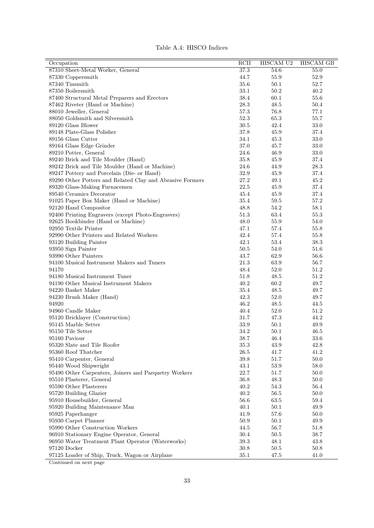|  |  |  | Table A.4: HISCO Indices |
|--|--|--|--------------------------|
|--|--|--|--------------------------|

| Occupation                                                | RCII     | HISCAM U2 | <b>HISCAM GB</b> |
|-----------------------------------------------------------|----------|-----------|------------------|
| 87310 Sheet-Metal Worker, General                         | 37.3     | 54.6      | 55.0             |
| 87330 Coppersmith                                         | 44.7     | 55.9      | 52.9             |
| 87340 Tinsmith                                            | 35.6     | 50.1      | 52.7             |
| 87350 Boilersmith                                         | 33.1     | 50.2      | 40.2             |
| 87400 Structural Metal Preparers and Erectors             | 38.4     | 60.1      | 55.6             |
| 87462 Riveter (Hand or Machine)                           | 28.3     | 48.5      | 50.4             |
| 88010 Jeweller, General                                   | 57.3     | 76.8      | 77.1             |
| 88050 Goldsmith and Silversmith                           | 52.3     | 65.3      | 55.7             |
| 89120 Glass Blower                                        | $30.5\,$ | 42.4      | 33.0             |
| 89148 Plate-Glass Polisher                                | 37.8     | 45.9      | 37.4             |
| 89156 Glass Cutter                                        | 34.1     | 45.3      | 33.0             |
| 89164 Glass Edge Grinder                                  | 37.0     | 45.7      | 33.0             |
| 89210 Potter, General                                     | 24.6     | 46.9      | 33.0             |
| 89240 Brick and Tile Moulder (Hand)                       | 35.8     | 45.9      | 37.4             |
| 89242 Brick and Tile Moulder (Hand or Machine)            | 24.6     | 44.9      | 28.3             |
| 89247 Pottery and Porcelain (Die- or Hand)                | 32.9     | 45.9      | 37.4             |
| 89290 Other Potters and Related Clay and Abrasive Formers | 27.2     | 49.1      | 45.2             |
| 89320 Glass-Making Furnacemen                             | $22.5\,$ | 45.9      | 37.4             |
| 89540 Ceramics Decorator                                  | 45.4     |           |                  |
|                                                           |          | 45.9      | 37.4             |
| 91025 Paper Box Maker (Hand or Machine)                   | 35.4     | 59.5      | 57.2             |
| 92120 Hand Compositor                                     | 48.8     | 54.2      | 58.1             |
| 92400 Printing Engravers (except Photo-Engravers)         | 51.3     | 63.4      | 55.3             |
| 92625 Bookbinder (Hand or Machine)                        | 48.0     | 55.9      | 54.0             |
| 92950 Textile Printer                                     | 47.1     | 57.4      | 55.8             |
| 92990 Other Printers and Related Workers                  | 42.4     | 57.4      | 55.8             |
| 93120 Building Painter                                    | 42.1     | 53.4      | 38.3             |
| 93950 Sign Painter                                        | $50.5\,$ | 54.0      | 51.6             |
| 93990 Other Painters                                      | 43.7     | 62.9      | 56.6             |
| 94100 Musical Instrument Makers and Tuners                | 21.3     | 63.9      | 56.7             |
| 94170                                                     | 48.4     | 52.0      | 51.2             |
| 94180 Musical Instrument Tuner                            | 51.8     | 48.5      | 51.2             |
| 94190 Other Musical Instrument Makers                     | 40.2     | 60.2      | 49.7             |
| 94220 Basket Maker                                        | 35.4     | 48.5      | 49.7             |
| 94230 Brush Maker (Hand)                                  | 42.3     | 52.0      | 49.7             |
| 94920                                                     | 46.2     | 48.5      | 44.5             |
| 94960 Candle Maker                                        | 40.4     | 52.0      | 51.2             |
| 95120 Bricklayer (Construction)                           | 31.7     | 47.3      | 44.2             |
| 95145 Marble Setter                                       | 33.9     | 50.1      | 49.9             |
| 95150 Tile Setter                                         | 34.2     | 50.1      | 46.5             |
| $95160$ Paviour                                           | 38.7     | 46.4      | $33.6\,$         |
| 95320 Slate and Tile Roofer                               | 35.3     | 43.9      | 42.8             |
| 95360 Roof Thatcher                                       | $26.5\,$ | 41.7      | 41.2             |
| 95410 Carpenter, General                                  | 39.8     | $51.7\,$  | $50.0\,$         |
| 95440 Wood Shipwright                                     | 43.1     | $53.9\,$  | $58.0\,$         |
| 95490 Other Carpenters, Joiners and Parquetry Workers     | $22.7\,$ | 51.7      | 50.0             |
| 95510 Plasterer, General                                  | 36.8     | 48.3      | 50.0             |
| 95590 Other Plasterers                                    | 40.2     | 54.3      | 56.4             |
| 95720 Building Glazier                                    | 40.2     | 56.5      | 50.0             |
| 95910 Housebuilder, General                               | 56.6     | $63.5\,$  | 59.4             |
| 95920 Building Maintenance Man                            | 40.1     | 50.1      | 49.9             |
| 95925 Paperhanger                                         | 41.9     | 57.6      | 50.0             |
| 95930 Carpet Planner                                      | 50.9     | 50.1      | 49.9             |
| 95990 Other Construction Workers                          | 44.5     | 56.7      | 51.8             |
| 96910 Stationary Engine Operator, General                 | 30.4     | 50.5      | $38.7\,$         |
| 96950 Water Treatment Plant Operator (Waterworks)         | 39.3     | 48.1      | 43.8             |
| 97120 Docker                                              | $30.8\,$ |           |                  |
|                                                           |          | 50.5      | 50.8             |
| 97125 Loader of Ship, Truck, Wagon or Airplane            | 35.1     | 47.5      | 41.0             |